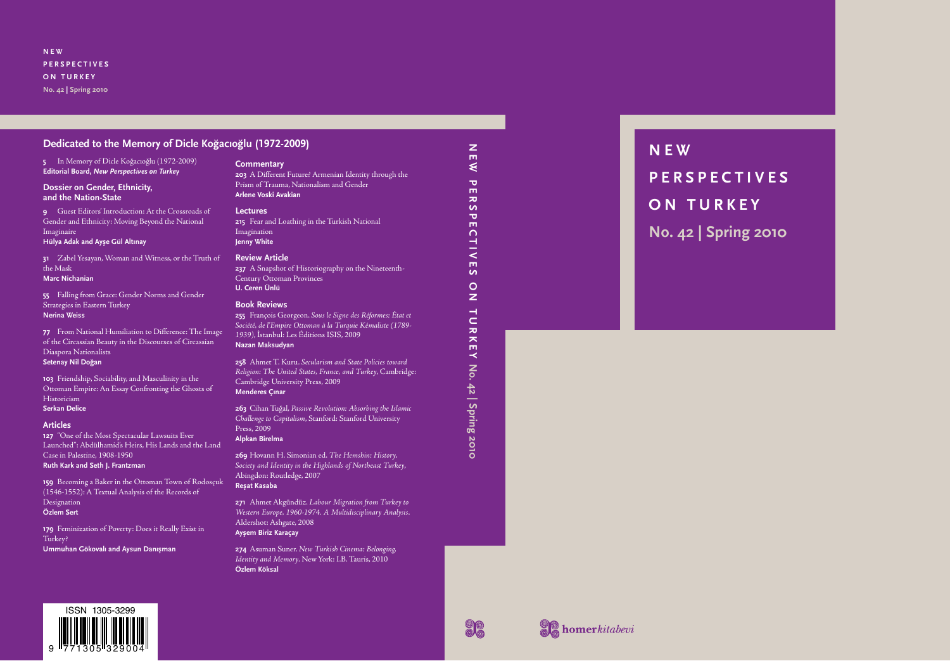**N E W P E R S P E C T I V E S ON TURKEY No. 42 | Spring 2010**

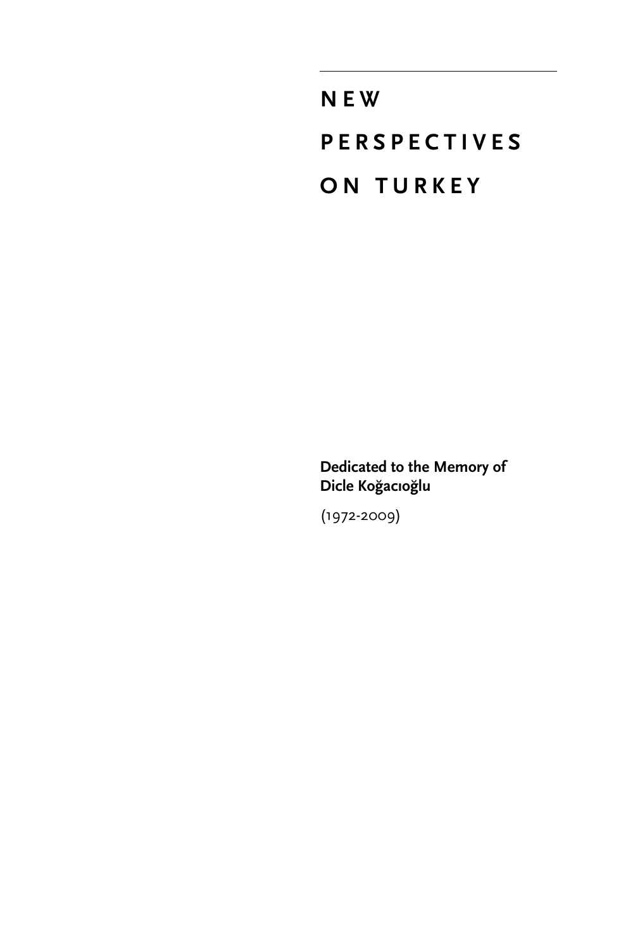**NEW PERSPECTIVES ON TURKEY**

**Dedicated to the Memory of Dicle Koğacıoğlu**

(1972-2009)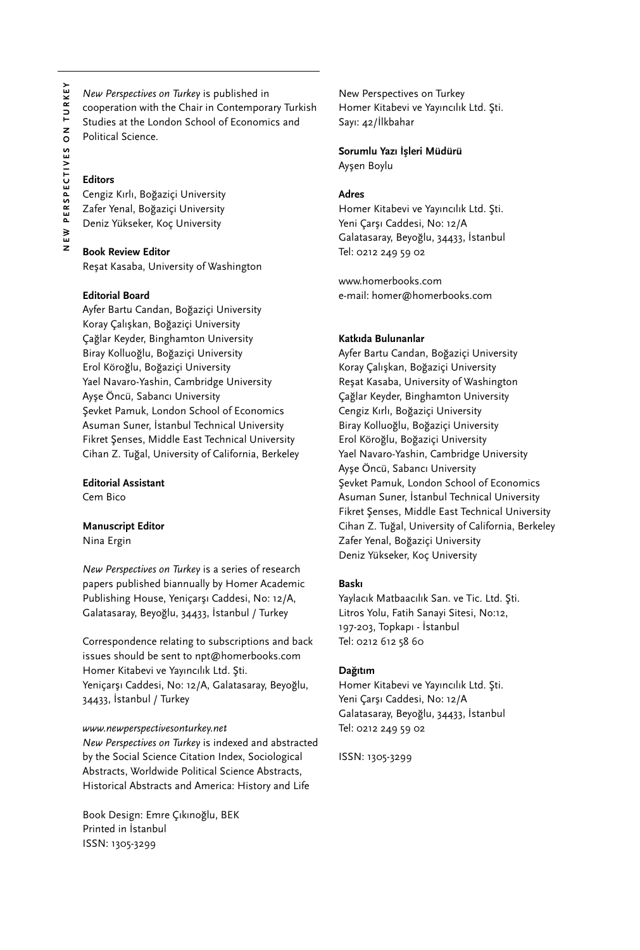*New Perspectives on Turkey* is published in cooperation with the Chair in Contemporary Turkish Studies at the London School of Economics and Political Science.

#### **Editors**

Cengiz Kırlı, Boğaziçi University Zafer Yenal, Boğaziçi University Deniz Yükseker, Koç University

#### **Book Review Editor**

Reşat Kasaba, University of Washington

#### **Editorial Board**

Ayfer Bartu Candan, Boğaziçi University Koray Çalışkan, Boğaziçi University Çağlar Keyder, Binghamton University Biray Kolluoğlu, Boğaziçi University Erol Köroğlu, Boğaziçi University Yael Navaro-Yashin, Cambridge University Ayşe Öncü, Sabancı University Sevket Pamuk, London School of Economics Asuman Suner, İstanbul Technical University Fikret Şenses, Middle East Technical University Cihan Z. Tuğal, University of California, Berkeley

### **Editorial Assistant**

Cem Bico

#### **Manuscript Editor**

Nina Ergin

*New Perspectives on Turkey* is a series of research papers published biannually by Homer Academic Publishing House, Yeniçarşı Caddesi, No: 12/A, Galatasaray, Beyoğlu, 34433, İstanbul / Turkey

Correspondence relating to subscriptions and back issues should be sent to npt@homerbooks.com Homer Kitabevi ve Yayıncılık Ltd. Şti. Yeniçarşı Caddesi, No: 12/A, Galatasaray, Beyoğlu, 34433, İstanbul / Turkey

#### *www.newperspectivesonturkey.net*

*New Perspectives on Turkey* is indexed and abstracted by the Social Science Citation Index, Sociological Abstracts, Worldwide Political Science Abstracts, Historical Abstracts and America: History and Life

Book Design: Emre Çıkınoğlu, BEK Printed in İstanbul ISSN: 1305-3299

New Perspectives on Turkey Homer Kitabevi ve Yayıncılık Ltd. Şti. Sayı: 42/İlkbahar

# **Sorumlu Yazı İşleri Müdürü**

Ayşen Boylu

#### **Adres**

Homer Kitabevi ve Yayıncılık Ltd. Şti. Yeni Çarşı Caddesi, No: 12/A Galatasaray, Beyoğlu, 34433, İstanbul Tel: 0212 249 59 02

www.homerbooks.com e-mail: homer@homerbooks.com

#### **Katkıda Bulunanlar**

Ayfer Bartu Candan, Boğaziçi University Koray Çalışkan, Boğaziçi University Reşat Kasaba, University of Washington Çağlar Keyder, Binghamton University Cengiz Kırlı, Boğaziçi University Biray Kolluoğlu, Boğaziçi University Erol Köroğlu, Boğaziçi University Yael Navaro-Yashin, Cambridge University Ayşe Öncü, Sabancı University Şevket Pamuk, London School of Economics Asuman Suner, İstanbul Technical University Fikret Şenses, Middle East Technical University Cihan Z. Tuğal, University of California, Berkeley Zafer Yenal, Boğaziçi University Deniz Yükseker, Koç University

#### **Baskı**

Yaylacık Matbaacılık San. ve Tic. Ltd. Şti. Litros Yolu, Fatih Sanayi Sitesi, No:12, 197-203, Topkapı - İstanbul Tel: 0212 612 58 60

#### **Dağıtım**

Homer Kitabevi ve Yayıncılık Ltd. Şti. Yeni Çarşı Caddesi, No: 12/A Galatasaray, Beyoğlu, 34433, İstanbul Tel: 0212 249 59 02

ISSN: 1305-3299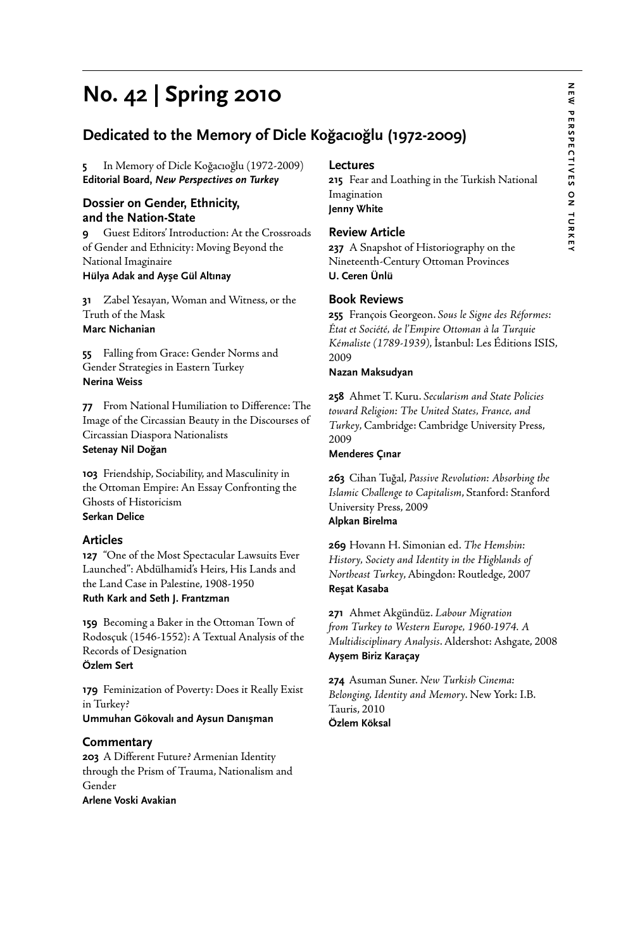# N EW **NEW PERSPECTIVES ON TURKEY** PERSPECTIVES ON TURKEY

# **No. 42 | Spring 2010**

# **Dedicated to the Memory of Dicle Koğacıoğlu (1972-2009)**

**5** In Memory of Dicle Koğacıoğlu (1972-2009) **Editorial Board,** *New Perspectives on Turkey*

#### **Dossier on Gender, Ethnicity, and the Nation-State**

**9** Guest Editors' Introduction: At the Crossroads of Gender and Ethnicity: Moving Beyond the National Imaginaire **Hülya Adak and Ayşe Gül Altınay**

**31** Zabel Yesayan, Woman and Witness, or the Truth of the Mask

# **Marc Nichanian**

**55** Falling from Grace: Gender Norms and Gender Strategies in Eastern Turkey **Nerina Weiss**

**77** From National Humiliation to Difference: The Image of the Circassian Beauty in the Discourses of Circassian Diaspora Nationalists

# **Setenay Nil Doğan**

**103** Friendship, Sociability, and Masculinity in the Ottoman Empire: An Essay Confronting the Ghosts of Historicism **Serkan Delice**

#### **Articles**

**127** "One of the Most Spectacular Lawsuits Ever Launched": Abdülhamid's Heirs, His Lands and the Land Case in Palestine, 1908-1950 **Ruth Kark and Seth J. Frantzman**

**159** Becoming a Baker in the Ottoman Town of Rodosçuk (1546-1552): A Textual Analysis of the Records of Designation **Özlem Sert**

**179** Feminization of Poverty: Does it Really Exist in Turkey? **Ummuhan Gökovalı and Aysun Danışman**

#### **Commentary**

**203** A Different Future? Armenian Identity through the Prism of Trauma, Nationalism and Gender **Arlene Voski Avakian**

#### **Lectures**

**215** Fear and Loathing in the Turkish National Imagination **Jenny White**

#### **Review Article**

**237** A Snapshot of Historiography on the Nineteenth-Century Ottoman Provinces **U. Ceren Ünlü**

#### **Book Reviews**

**255** François Georgeon. *Sous le Signe des Réformes: État et Société, de l'Empire Ottoman à la Turquie Kémaliste (1789-1939)*, İstanbul: Les Éditions ISIS, 2009

#### **Nazan Maksudyan**

**258** Ahmet T. Kuru. *Secularism and State Policies toward Religion: The United States, France, and Turkey*, Cambridge: Cambridge University Press, 2009

#### **Menderes Çınar**

**263** Cihan Tuğal, *Passive Revolution: Absorbing the Islamic Challenge to Capitalism*, Stanford: Stanford University Press, 2009 **Alpkan Birelma**

**269** Hovann H. Simonian ed. *The Hemshin: History, Society and Identity in the Highlands of Northeast Turkey*, Abingdon: Routledge, 2007 **Reşat Kasaba**

**271** Ahmet Akgündüz. *Labour Migration from Turkey to Western Europe, 1960-1974. A Multidisciplinary Analysis*. Aldershot: Ashgate, 2008 **Ayşem Biriz Karaçay**

**274** Asuman Suner. *New Turkish Cinema: Belonging, Identity and Memory*. New York: I.B. Tauris, 2010 **Özlem Köksal**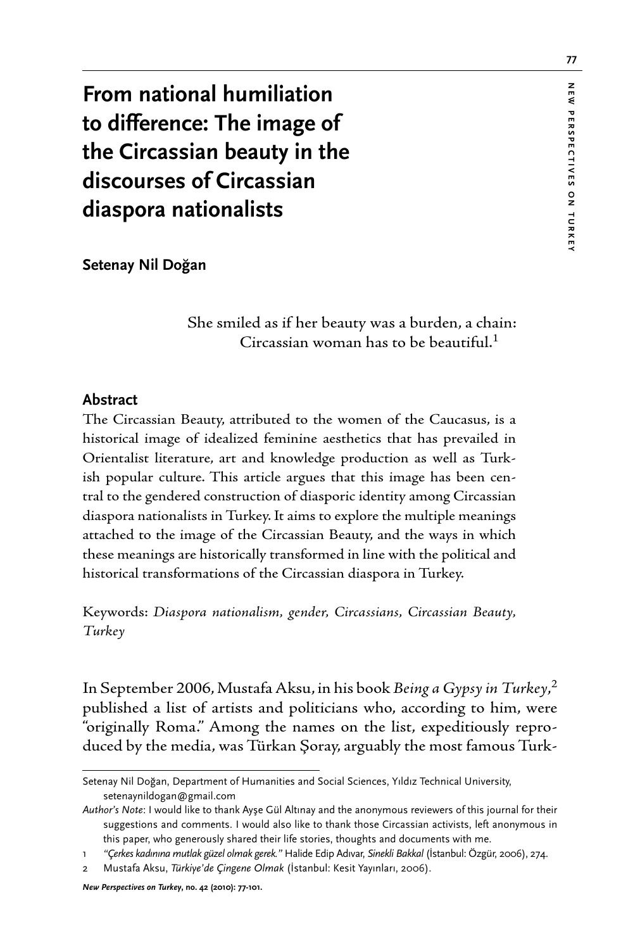**From national humiliation to difference: The image of the Circassian beauty in the discourses of Circassian diaspora nationalists**

**Setenay Nil Doğan**

 She smiled as if her beauty was a burden, a chain: Circassian woman has to be beautiful. $1$ 

#### **Abstract**

The Circassian Beauty, attributed to the women of the Caucasus, is a historical image of idealized feminine aesthetics that has prevailed in Orientalist literature, art and knowledge production as well as Turkish popular culture. This article argues that this image has been central to the gendered construction of diasporic identity among Circassian diaspora nationalists in Turkey. It aims to explore the multiple meanings attached to the image of the Circassian Beauty, and the ways in which these meanings are historically transformed in line with the political and historical transformations of the Circassian diaspora in Turkey.

Keywords: *Diaspora nationalism, gender, Circassians, Circassian Beauty, Turkey*

In September 2006, Mustafa Aksu, in his book *Being a Gypsy in Turkey*, 2 published a list of artists and politicians who, according to him, were "originally Roma." Among the names on the list, expeditiously reproduced by the media, was Türkan Şoray, arguably the most famous Turk-

Setenay Nil Doğan, Department of Humanities and Social Sciences, Yıldız Technical University, setenaynildogan@gmail.com

*Author's Note*: I would like to thank Ayşe Gül Altınay and the anonymous reviewers of this journal for their suggestions and comments. I would also like to thank those Circassian activists, left anonymous in this paper, who generously shared their life stories, thoughts and documents with me.

<sup>1</sup> *"Çerkes kadınına mutlak güzel olmak gerek."* Halide Edip Adıvar, *Sinekli Bakkal* (İstanbul: Özgür, 2006), 274.

<sup>2</sup> Mustafa Aksu, *Türkiye'de Çingene Olmak* (İstanbul: Kesit Yayınları, 2006).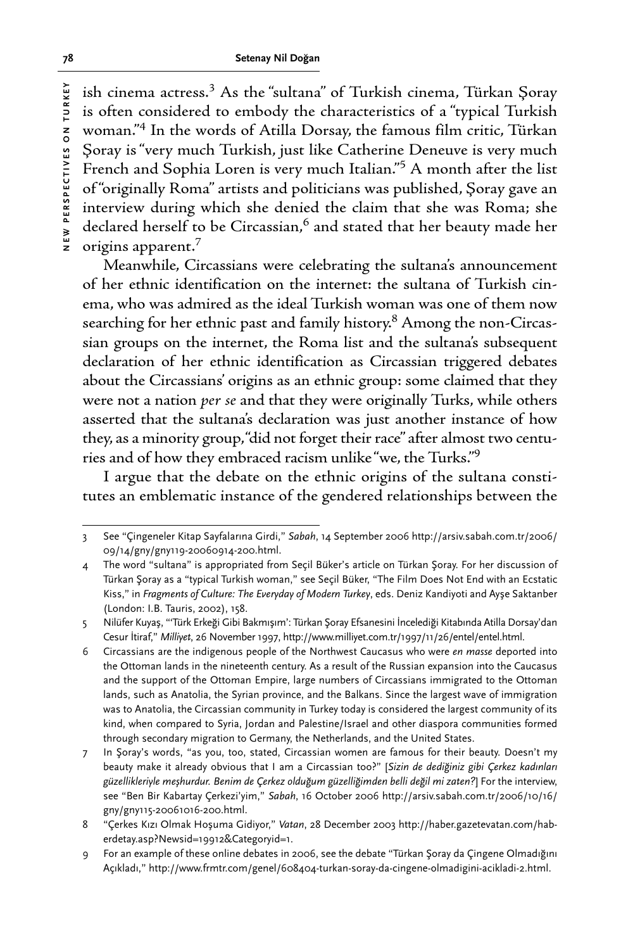ish cinema actress.<sup>3</sup> As the "sultana" of Turkish cinema, Türkan Şoray is often considered to embody the characteristics of a "typical Turkish woman."4 In the words of Atilla Dorsay, the famous film critic, Türkan Şoray is "very much Turkish, just like Catherine Deneuve is very much French and Sophia Loren is very much Italian."<sup>5</sup> A month after the list of "originally Roma" artists and politicians was published, Şoray gave an interview during which she denied the claim that she was Roma; she declared herself to be Circassian,<sup>6</sup> and stated that her beauty made her origins apparent.7

Meanwhile, Circassians were celebrating the sultana's announcement of her ethnic identification on the internet: the sultana of Turkish cinema, who was admired as the ideal Turkish woman was one of them now searching for her ethnic past and family history.<sup>8</sup> Among the non-Circassian groups on the internet, the Roma list and the sultana's subsequent declaration of her ethnic identification as Circassian triggered debates about the Circassians' origins as an ethnic group: some claimed that they were not a nation *per se* and that they were originally Turks, while others asserted that the sultana's declaration was just another instance of how they, as a minority group, "did not forget their race" after almost two centuries and of how they embraced racism unlike "we, the Turks."9

I argue that the debate on the ethnic origins of the sultana constitutes an emblematic instance of the gendered relationships between the

<sup>3</sup> See "Çingeneler Kitap Sayfalarına Girdi," *Sabah*, 14 September 2006 http://arsiv.sabah.com.tr/2006/ 09/14/gny/gny119-20060914-200.html.

<sup>4</sup> The word "sultana" is appropriated from Seçil Büker's article on Türkan Şoray. For her discussion of Türkan Şoray as a "typical Turkish woman," see Seçil Büker, "The Film Does Not End with an Ecstatic Kiss," in *Fragments of Culture: The Everyday of Modern Turkey*, eds. Deniz Kandiyoti and Ayşe Saktanber (London: I.B. Tauris, 2002), 158.

<sup>5</sup> Nilüfer Kuyaş, "'Türk Erkeği Gibi Bakmışım': Türkan Şoray Efsanesini İncelediği Kitabında Atilla Dorsay'dan Cesur İtiraf," *Milliyet*, 26 November 1997, http://www.milliyet.com.tr/1997/11/26/entel/entel.html.

<sup>6</sup> Circassians are the indigenous people of the Northwest Caucasus who were *en masse* deported into the Ottoman lands in the nineteenth century. As a result of the Russian expansion into the Caucasus and the support of the Ottoman Empire, large numbers of Circassians immigrated to the Ottoman lands, such as Anatolia, the Syrian province, and the Balkans. Since the largest wave of immigration was to Anatolia, the Circassian community in Turkey today is considered the largest community of its kind, when compared to Syria, Jordan and Palestine/Israel and other diaspora communities formed through secondary migration to Germany, the Netherlands, and the United States.

<sup>7</sup> In Şoray's words, "as you, too, stated, Circassian women are famous for their beauty. Doesn't my beauty make it already obvious that I am a Circassian too?" [*Sizin de dediğiniz gibi Çerkez kadınları güzellikleriyle meşhurdur. Benim de Çerkez olduğum güzelliğimden belli değil mi zaten?*] For the interview, see "Ben Bir Kabartay Çerkezi'yim," *Sabah*, 16 October 2006 http://arsiv.sabah.com.tr/2006/10/16/ gny/gny115-20061016-200.html.

<sup>8</sup> "Çerkes Kızı Olmak Hoşuma Gidiyor," *Vatan*, 28 December 2003 http://haber.gazetevatan.com/haberdetay.asp?Newsid=19912&Categoryid=1.

<sup>9</sup> For an example of these online debates in 2006, see the debate "Türkan Şoray da Çingene Olmadığını Açıkladı," http://www.frmtr.com/genel/608404-turkan-soray-da-cingene-olmadigini-acikladi-2.html.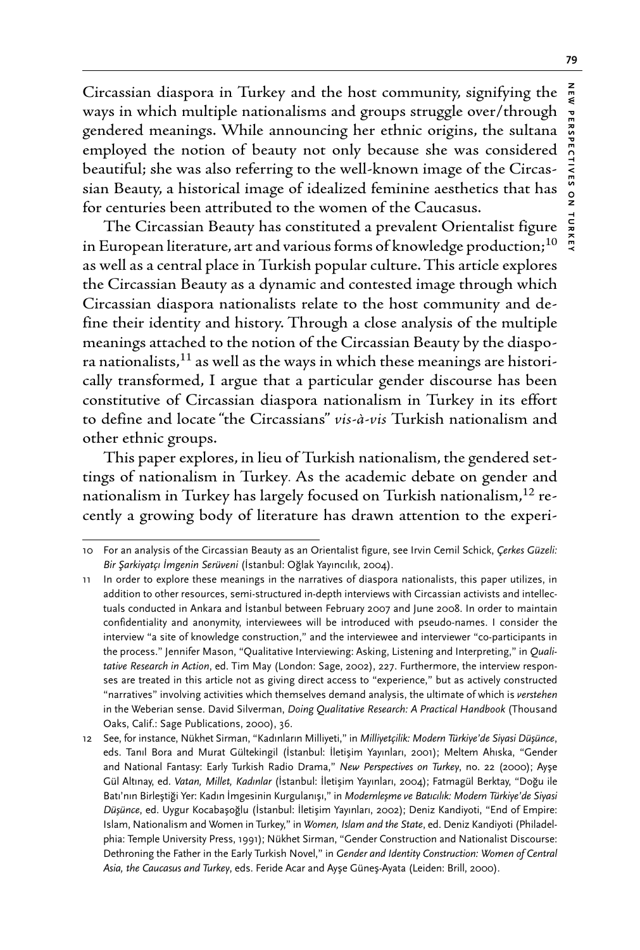Circassian diaspora in Turkey and the host community, signifying the ways in which multiple nationalisms and groups struggle over/through gendered meanings. While announcing her ethnic origins, the sultana employed the notion of beauty not only because she was considered beautiful; she was also referring to the well-known image of the Circassian Beauty, a historical image of idealized feminine aesthetics that has for centuries been attributed to the women of the Caucasus.

The Circassian Beauty has constituted a prevalent Orientalist figure in European literature, art and various forms of knowledge production;<sup>10</sup> as well as a central place in Turkish popular culture. This article explores the Circassian Beauty as a dynamic and contested image through which Circassian diaspora nationalists relate to the host community and define their identity and history. Through a close analysis of the multiple meanings attached to the notion of the Circassian Beauty by the diaspora nationalists, $^{11}$  as well as the ways in which these meanings are historically transformed, I argue that a particular gender discourse has been constitutive of Circassian diaspora nationalism in Turkey in its effort to define and locate "the Circassians" *vis-à-vis* Turkish nationalism and other ethnic groups.

This paper explores, in lieu of Turkish nationalism, the gendered settings of nationalism in Turkey. As the academic debate on gender and nationalism in Turkey has largely focused on Turkish nationalism,<sup>12</sup> recently a growing body of literature has drawn attention to the experi-

<sup>10</sup> For an analysis of the Circassian Beauty as an Orientalist figure, see Irvin Cemil Schick, *Çerkes Güzeli: Bir Şarkiyatçı İmgenin Serüveni* (İstanbul: Oğlak Yayıncılık, 2004).

<sup>11</sup> In order to explore these meanings in the narratives of diaspora nationalists, this paper utilizes, in addition to other resources, semi-structured in-depth interviews with Circassian activists and intellectuals conducted in Ankara and İstanbul between February 2007 and June 2008. In order to maintain confidentiality and anonymity, interviewees will be introduced with pseudo-names. I consider the interview "a site of knowledge construction," and the interviewee and interviewer "co-participants in the process." Jennifer Mason, "Qualitative Interviewing: Asking, Listening and Interpreting," in *Qualitative Research in Action*, ed. Tim May (London: Sage, 2002), 227. Furthermore, the interview responses are treated in this article not as giving direct access to "experience," but as actively constructed "narratives" involving activities which themselves demand analysis, the ultimate of which is *verstehen* in the Weberian sense. David Silverman, *Doing Qualitative Research: A Practical Handbook* (Thousand Oaks, Calif.: Sage Publications, 2000), 36.

<sup>12</sup> See, for instance, Nükhet Sirman, "Kadınların Milliyeti," in *Milliyetçilik: Modern Türkiye'de Siyasi Düşünce*, eds. Tanıl Bora and Murat Gültekingil (İstanbul: İletişim Yayınları, 2001); Meltem Ahıska, "Gender and National Fantasy: Early Turkish Radio Drama," *New Perspectives on Turkey*, no. 22 (2000); Ayşe Gül Altınay, ed. *Vatan, Millet, Kadınlar* (İstanbul: İletişim Yayınları, 2004); Fatmagül Berktay, "Doğu ile Batı'nın Birleştiği Yer: Kadın İmgesinin Kurgulanışı," in *Modernleşme ve Batıcılık: Modern Türkiye'de Siyasi Düşünce*, ed. Uygur Kocabaşoğlu (İstanbul: İletişim Yayınları, 2002); Deniz Kandiyoti, "End of Empire: Islam, Nationalism and Women in Turkey," in *Women, Islam and the State*, ed. Deniz Kandiyoti (Philadelphia: Temple University Press, 1991); Nükhet Sirman, "Gender Construction and Nationalist Discourse: Dethroning the Father in the Early Turkish Novel," in *Gender and Identity Construction: Women of Central Asia, the Caucasus and Turkey*, eds. Feride Acar and Ayşe Güneş-Ayata (Leiden: Brill, 2000).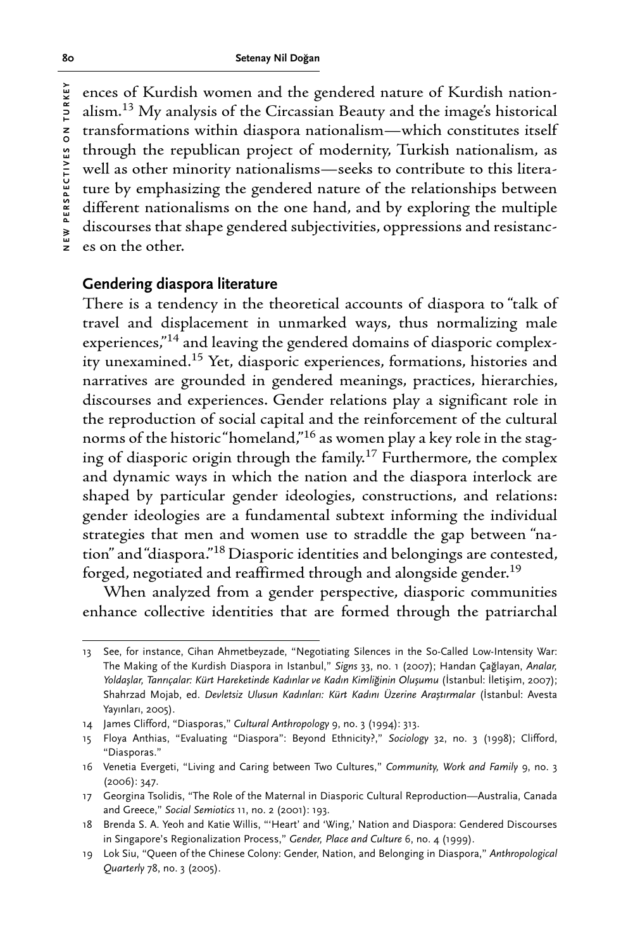ences of Kurdish women and the gendered nature of Kurdish nationalism.13 My analysis of the Circassian Beauty and the image's historical transformations within diaspora nationalism—which constitutes itself through the republican project of modernity, Turkish nationalism, as well as other minority nationalisms—seeks to contribute to this literature by emphasizing the gendered nature of the relationships between different nationalisms on the one hand, and by exploring the multiple discourses that shape gendered subjectivities, oppressions and resistances on the other.

# **Gendering diaspora literature**

There is a tendency in the theoretical accounts of diaspora to "talk of travel and displacement in unmarked ways, thus normalizing male experiences,"14 and leaving the gendered domains of diasporic complexity unexamined.15 Yet, diasporic experiences, formations, histories and narratives are grounded in gendered meanings, practices, hierarchies, discourses and experiences. Gender relations play a significant role in the reproduction of social capital and the reinforcement of the cultural norms of the historic "homeland,"16 as women play a key role in the staging of diasporic origin through the family.17 Furthermore, the complex and dynamic ways in which the nation and the diaspora interlock are shaped by particular gender ideologies, constructions, and relations: gender ideologies are a fundamental subtext informing the individual strategies that men and women use to straddle the gap between "nation" and "diaspora."18 Diasporic identities and belongings are contested, forged, negotiated and reaffirmed through and alongside gender.<sup>19</sup>

When analyzed from a gender perspective, diasporic communities enhance collective identities that are formed through the patriarchal

<sup>13</sup> See, for instance, Cihan Ahmetbeyzade, "Negotiating Silences in the So-Called Low-Intensity War: The Making of the Kurdish Diaspora in Istanbul," *Signs* 33, no. 1 (2007); Handan Çağlayan, *Analar, Yoldaşlar, Tanrıçalar: Kürt Hareketinde Kadınlar ve Kadın Kimliğinin Oluşumu* (İstanbul: İletişim, 2007); Shahrzad Mojab, ed. *Devletsiz Ulusun Kadınları: Kürt Kadını Üzerine Araştırmalar* (İstanbul: Avesta Yayınları, 2005).

<sup>14</sup> James Clifford, "Diasporas," *Cultural Anthropology* 9, no. 3 (1994): 313.

<sup>15</sup> Floya Anthias, "Evaluating "Diaspora": Beyond Ethnicity?," *Sociology* 32, no. 3 (1998); Clifford, "Diasporas."

<sup>16</sup> Venetia Evergeti, "Living and Caring between Two Cultures," *Community, Work and Family* 9, no. 3 (2006): 347.

<sup>17</sup> Georgina Tsolidis, "The Role of the Maternal in Diasporic Cultural Reproduction—Australia, Canada and Greece," *Social Semiotics* 11, no. 2 (2001): 193.

<sup>18</sup> Brenda S. A. Yeoh and Katie Willis, "'Heart' and 'Wing,' Nation and Diaspora: Gendered Discourses in Singapore's Regionalization Process," *Gender, Place and Culture* 6, no. 4 (1999).

<sup>19</sup> Lok Siu, "Queen of the Chinese Colony: Gender, Nation, and Belonging in Diaspora," *Anthropological Quarterly* 78, no. 3 (2005).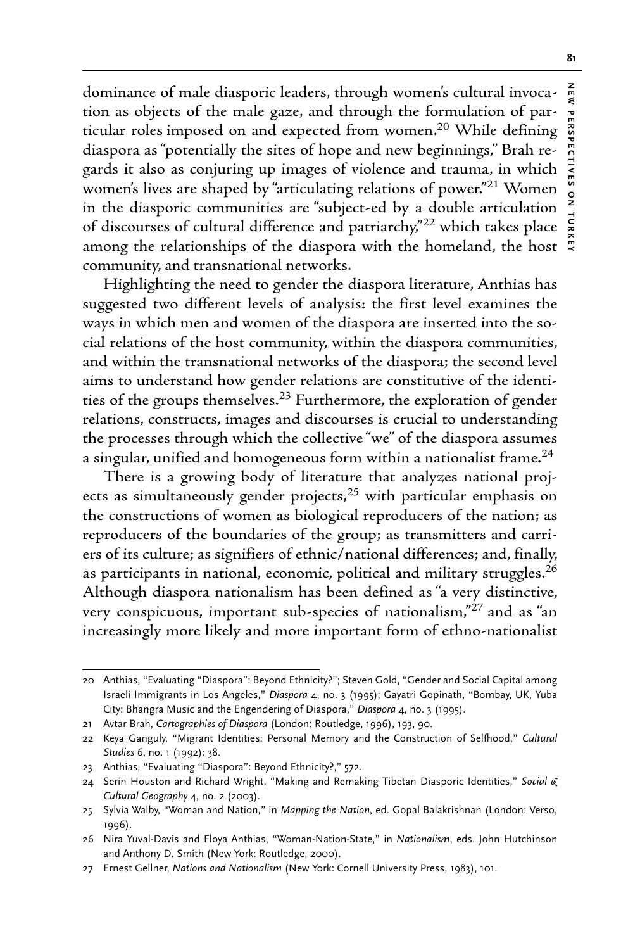dominance of male diasporic leaders, through women's cultural invocation as objects of the male gaze, and through the formulation of particular roles imposed on and expected from women.<sup>20</sup> While defining diaspora as "potentially the sites of hope and new beginnings," Brah regards it also as conjuring up images of violence and trauma, in which women's lives are shaped by "articulating relations of power."<sup>21</sup> Women in the diasporic communities are "subject-ed by a double articulation of discourses of cultural difference and patriarchy,"<sup>22</sup> which takes place among the relationships of the diaspora with the homeland, the host community, and transnational networks.

Highlighting the need to gender the diaspora literature, Anthias has suggested two different levels of analysis: the first level examines the ways in which men and women of the diaspora are inserted into the social relations of the host community, within the diaspora communities, and within the transnational networks of the diaspora; the second level aims to understand how gender relations are constitutive of the identities of the groups themselves.<sup>23</sup> Furthermore, the exploration of gender relations, constructs, images and discourses is crucial to understanding the processes through which the collective "we" of the diaspora assumes a singular, unified and homogeneous form within a nationalist frame.<sup>24</sup>

There is a growing body of literature that analyzes national projects as simultaneously gender projects, $25$  with particular emphasis on the constructions of women as biological reproducers of the nation; as reproducers of the boundaries of the group; as transmitters and carriers of its culture; as signifiers of ethnic/national differences; and, finally, as participants in national, economic, political and military struggles.<sup>26</sup> Although diaspora nationalism has been defined as "a very distinctive, very conspicuous, important sub-species of nationalism,"<sup>27</sup> and as "an increasingly more likely and more important form of ethno-nationalist

<sup>20</sup> Anthias, "Evaluating "Diaspora": Beyond Ethnicity?"; Steven Gold, "Gender and Social Capital among Israeli Immigrants in Los Angeles," *Diaspora* 4, no. 3 (1995); Gayatri Gopinath, "Bombay, UK, Yuba City: Bhangra Music and the Engendering of Diaspora," *Diaspora* 4, no. 3 (1995).

<sup>21</sup> Avtar Brah, *Cartographies of Diaspora* (London: Routledge, 1996), 193, 90.

<sup>22</sup> Keya Ganguly, "Migrant Identities: Personal Memory and the Construction of Selfhood," *Cultural Studies* 6, no. 1 (1992): 38.

<sup>23</sup> Anthias, "Evaluating "Diaspora": Beyond Ethnicity?," 572.

<sup>24</sup> Serin Houston and Richard Wright, "Making and Remaking Tibetan Diasporic Identities," *Social & Cultural Geography* 4, no. 2 (2003).

<sup>25</sup> Sylvia Walby, "Woman and Nation," in *Mapping the Nation*, ed. Gopal Balakrishnan (London: Verso, 1996).

<sup>26</sup> Nira Yuval-Davis and Floya Anthias, "Woman-Nation-State," in *Nationalism*, eds. John Hutchinson and Anthony D. Smith (New York: Routledge, 2000).

<sup>27</sup> Ernest Gellner, *Nations and Nationalism* (New York: Cornell University Press, 1983), 101.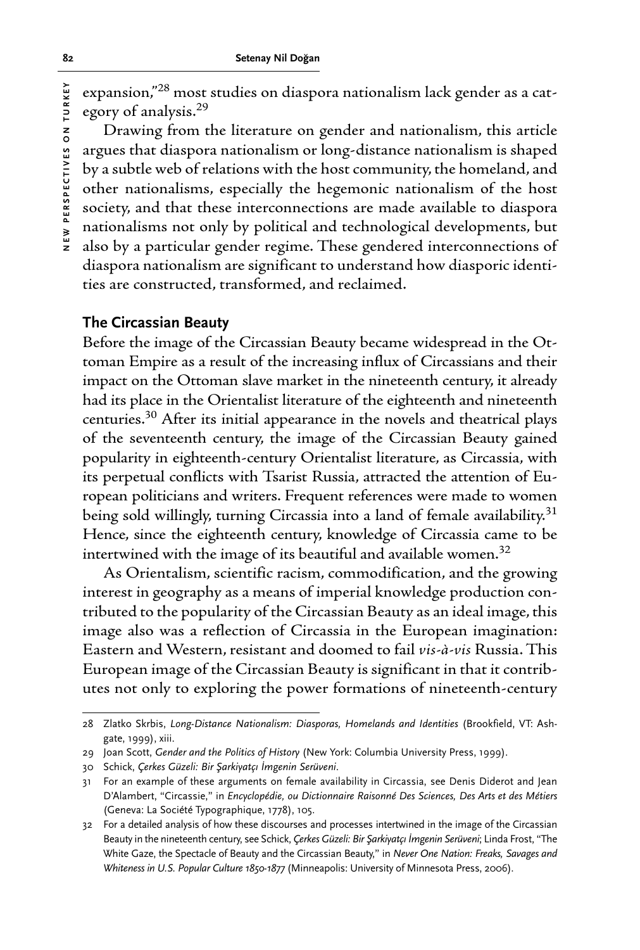expansion,"28 most studies on diaspora nationalism lack gender as a category of analysis.29

Drawing from the literature on gender and nationalism, this article argues that diaspora nationalism or long-distance nationalism is shaped by a subtle web of relations with the host community, the homeland, and other nationalisms, especially the hegemonic nationalism of the host society, and that these interconnections are made available to diaspora nationalisms not only by political and technological developments, but also by a particular gender regime. These gendered interconnections of diaspora nationalism are significant to understand how diasporic identities are constructed, transformed, and reclaimed.

#### **The Circassian Beauty**

Before the image of the Circassian Beauty became widespread in the Ottoman Empire as a result of the increasing influx of Circassians and their impact on the Ottoman slave market in the nineteenth century, it already had its place in the Orientalist literature of the eighteenth and nineteenth centuries.30 After its initial appearance in the novels and theatrical plays of the seventeenth century, the image of the Circassian Beauty gained popularity in eighteenth-century Orientalist literature, as Circassia, with its perpetual conflicts with Tsarist Russia, attracted the attention of European politicians and writers. Frequent references were made to women being sold willingly, turning Circassia into a land of female availability.<sup>31</sup> Hence, since the eighteenth century, knowledge of Circassia came to be intertwined with the image of its beautiful and available women.<sup>32</sup>

As Orientalism, scientific racism, commodification, and the growing interest in geography as a means of imperial knowledge production contributed to the popularity of the Circassian Beauty as an ideal image, this image also was a reflection of Circassia in the European imagination: Eastern and Western, resistant and doomed to fail *vis-à-vis* Russia. This European image of the Circassian Beauty is significant in that it contributes not only to exploring the power formations of nineteenth-century

30 Schick, *Çerkes Güzeli: Bir Şarkiyatçı İmgenin Serüveni*.

<sup>28</sup> Zlatko Skrbis, *Long-Distance Nationalism: Diasporas, Homelands and Identities* (Brookfield, VT: Ashgate, 1999), xiii.

<sup>29</sup> Joan Scott, *Gender and the Politics of History* (New York: Columbia University Press, 1999).

<sup>31</sup> For an example of these arguments on female availability in Circassia, see Denis Diderot and Jean D'Alambert, "Circassie," in *Encyclopédie, ou Dictionnaire Raisonné Des Sciences, Des Arts et des Métiers* (Geneva: La Société Typographique, 1778), 105.

<sup>32</sup> For a detailed analysis of how these discourses and processes intertwined in the image of the Circassian Beauty in the nineteenth century, see Schick, *Çerkes Güzeli: Bir Şarkiyatçı İmgenin Serüveni*; Linda Frost, "The White Gaze, the Spectacle of Beauty and the Circassian Beauty," in *Never One Nation: Freaks, Savages and Whiteness in U.S. Popular Culture 1850-1877* (Minneapolis: University of Minnesota Press, 2006).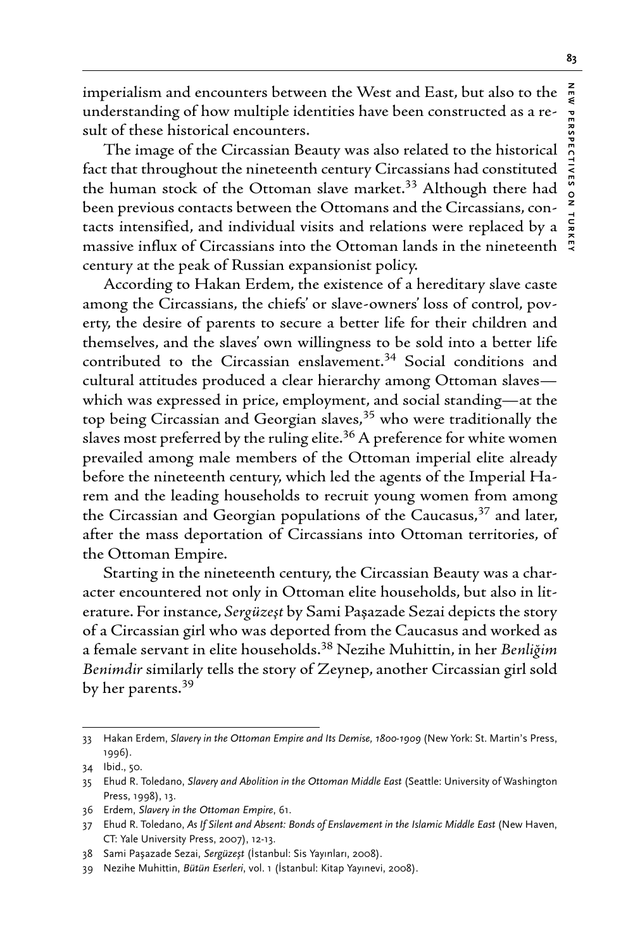imperialism and encounters between the West and East, but also to the understanding of how multiple identities have been constructed as a result of these historical encounters.

The image of the Circassian Beauty was also related to the historical fact that throughout the nineteenth century Circassians had constituted the human stock of the Ottoman slave market.<sup>33</sup> Although there had been previous contacts between the Ottomans and the Circassians, contacts intensified, and individual visits and relations were replaced by a massive influx of Circassians into the Ottoman lands in the nineteenth century at the peak of Russian expansionist policy.

According to Hakan Erdem, the existence of a hereditary slave caste among the Circassians, the chiefs' or slave-owners' loss of control, poverty, the desire of parents to secure a better life for their children and themselves, and the slaves' own willingness to be sold into a better life contributed to the Circassian enslavement.<sup>34</sup> Social conditions and cultural attitudes produced a clear hierarchy among Ottoman slaves which was expressed in price, employment, and social standing—at the top being Circassian and Georgian slaves,<sup>35</sup> who were traditionally the slaves most preferred by the ruling elite.<sup>36</sup> A preference for white women prevailed among male members of the Ottoman imperial elite already before the nineteenth century, which led the agents of the Imperial Harem and the leading households to recruit young women from among the Circassian and Georgian populations of the Caucasus, $37$  and later, after the mass deportation of Circassians into Ottoman territories, of the Ottoman Empire.

Starting in the nineteenth century, the Circassian Beauty was a character encountered not only in Ottoman elite households, but also in literature. For instance, *Sergüzeşt* by Sami Paşazade Sezai depicts the story of a Circassian girl who was deported from the Caucasus and worked as a female servant in elite households.38 Nezihe Muhittin, in her *Benliğim Benimdir* similarly tells the story of Zeynep, another Circassian girl sold by her parents.<sup>39</sup>

<sup>33</sup> Hakan Erdem, *Slavery in the Ottoman Empire and Its Demise, 1800-1909* (New York: St. Martin's Press, 1996).

<sup>34</sup> Ibid., 50.

<sup>35</sup> Ehud R. Toledano, *Slavery and Abolition in the Ottoman Middle East* (Seattle: University of Washington Press, 1998), 13.

<sup>36</sup> Erdem, *Slavery in the Ottoman Empire*, 61.

<sup>37</sup> Ehud R. Toledano, *As If Silent and Absent: Bonds of Enslavement in the Islamic Middle East* (New Haven, CT: Yale University Press, 2007), 12-13.

<sup>38</sup> Sami Paşazade Sezai, *Sergüzeşt* (İstanbul: Sis Yayınları, 2008).

<sup>39</sup> Nezihe Muhittin, *Bütün Eserleri*, vol. 1 (İstanbul: Kitap Yayınevi, 2008).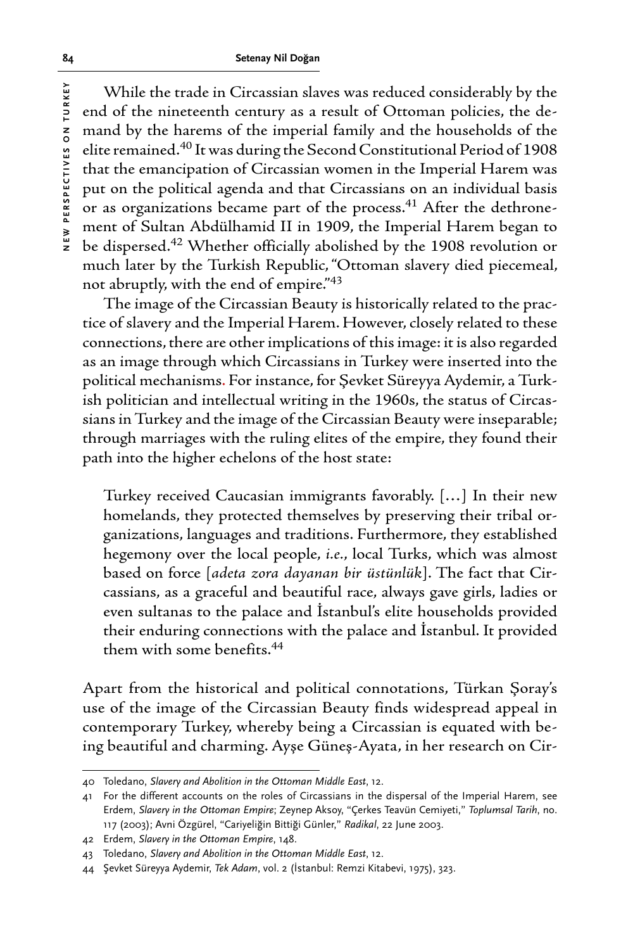**84 Setenay Nil Doğan**

While the trade in Circassian slaves was reduced considerably by the end of the nineteenth century as a result of Ottoman policies, the demand by the harems of the imperial family and the households of the elite remained.40 It was during the Second Constitutional Period of 1908 that the emancipation of Circassian women in the Imperial Harem was put on the political agenda and that Circassians on an individual basis or as organizations became part of the process.<sup>41</sup> After the dethronement of Sultan Abdülhamid II in 1909, the Imperial Harem began to be dispersed.<sup>42</sup> Whether officially abolished by the 1908 revolution or much later by the Turkish Republic, "Ottoman slavery died piecemeal, not abruptly, with the end of empire."43

The image of the Circassian Beauty is historically related to the practice of slavery and the Imperial Harem. However, closely related to these connections, there are other implications of this image: it is also regarded as an image through which Circassians in Turkey were inserted into the political mechanisms. For instance, for Şevket Süreyya Aydemir, a Turkish politician and intellectual writing in the 1960s, the status of Circassians in Turkey and the image of the Circassian Beauty were inseparable; through marriages with the ruling elites of the empire, they found their path into the higher echelons of the host state:

Turkey received Caucasian immigrants favorably. […] In their new homelands, they protected themselves by preserving their tribal organizations, languages and traditions. Furthermore, they established hegemony over the local people, *i.e.*, local Turks, which was almost based on force [*adeta zora dayanan bir üstünlük*]. The fact that Circassians, as a graceful and beautiful race, always gave girls, ladies or even sultanas to the palace and İstanbul's elite households provided their enduring connections with the palace and İstanbul. It provided them with some benefits.44

Apart from the historical and political connotations, Türkan Şoray's use of the image of the Circassian Beauty finds widespread appeal in contemporary Turkey, whereby being a Circassian is equated with being beautiful and charming. Ayşe Güneş-Ayata, in her research on Cir-

<sup>40</sup> Toledano, *Slavery and Abolition in the Ottoman Middle East*, 12.

<sup>41</sup> For the different accounts on the roles of Circassians in the dispersal of the Imperial Harem, see Erdem, *Slavery in the Ottoman Empire*; Zeynep Aksoy, "Çerkes Teavün Cemiyeti," *Toplumsal Tarih*, no. 117 (2003); Avni Özgürel, "Cariyeliğin Bittiği Günler," *Radikal*, 22 June 2003.

<sup>42</sup> Erdem, *Slavery in the Ottoman Empire*, 148.

<sup>43</sup> Toledano, *Slavery and Abolition in the Ottoman Middle East*, 12.

<sup>44</sup> Şevket Süreyya Aydemir, *Tek Adam*, vol. 2 (İstanbul: Remzi Kitabevi, 1975), 323.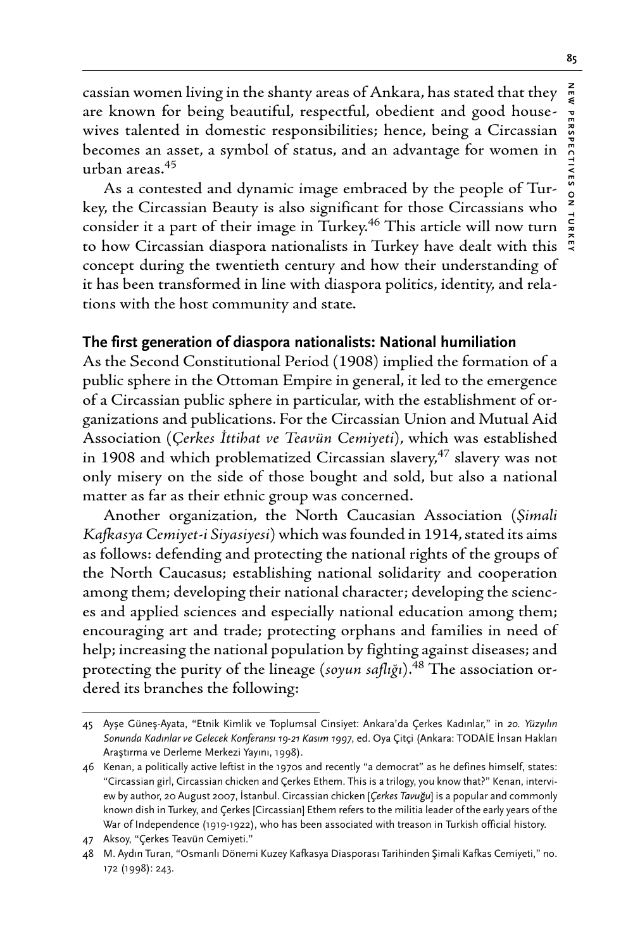cassian women living in the shanty areas of Ankara, has stated that they are known for being beautiful, respectful, obedient and good housewives talented in domestic responsibilities; hence, being a Circassian becomes an asset, a symbol of status, and an advantage for women in urban areas.<sup>45</sup>

As a contested and dynamic image embraced by the people of Turkey, the Circassian Beauty is also significant for those Circassians who consider it a part of their image in Turkey.<sup>46</sup> This article will now turn to how Circassian diaspora nationalists in Turkey have dealt with this concept during the twentieth century and how their understanding of it has been transformed in line with diaspora politics, identity, and relations with the host community and state.

# **The first generation of diaspora nationalists: National humiliation**

As the Second Constitutional Period (1908) implied the formation of a public sphere in the Ottoman Empire in general, it led to the emergence of a Circassian public sphere in particular, with the establishment of organizations and publications. For the Circassian Union and Mutual Aid Association (*Çerkes İttihat ve Teavün Cemiyeti*), which was established in 1908 and which problematized Circassian slavery, $47$  slavery was not only misery on the side of those bought and sold, but also a national matter as far as their ethnic group was concerned.

Another organization, the North Caucasian Association (*Şimali Kafkasya Cemiyet-i Siyasiyesi*) which was founded in 1914, stated its aims as follows: defending and protecting the national rights of the groups of the North Caucasus; establishing national solidarity and cooperation among them; developing their national character; developing the sciences and applied sciences and especially national education among them; encouraging art and trade; protecting orphans and families in need of help; increasing the national population by fighting against diseases; and protecting the purity of the lineage (*soyun saflığı*).48 The association ordered its branches the following:

<sup>45</sup> Ayşe Güneş-Ayata, "Etnik Kimlik ve Toplumsal Cinsiyet: Ankara'da Çerkes Kadınlar," in *20. Yüzyılın Sonunda Kadınlar ve Gelecek Konferansı 19-21 Kasım 1997*, ed. Oya Çitçi (Ankara: TODAİE İnsan Hakları Araştırma ve Derleme Merkezi Yayını, 1998).

<sup>46</sup> Kenan, a politically active leftist in the 1970s and recently "a democrat" as he defines himself, states: "Circassian girl, Circassian chicken and Çerkes Ethem. This is a trilogy, you know that?" Kenan, interview by author, 20 August 2007, İstanbul. Circassian chicken [*Çerkes Tavuğu*] is a popular and commonly known dish in Turkey, and Çerkes [Circassian] Ethem refers to the militia leader of the early years of the War of Independence (1919-1922), who has been associated with treason in Turkish official history.

<sup>47</sup> Aksoy, "Çerkes Teavün Cemiyeti."

<sup>48</sup> M. Aydın Turan, "Osmanlı Dönemi Kuzey Kafkasya Diasporası Tarihinden Şimali Kafkas Cemiyeti," no. 172 (1998): 243.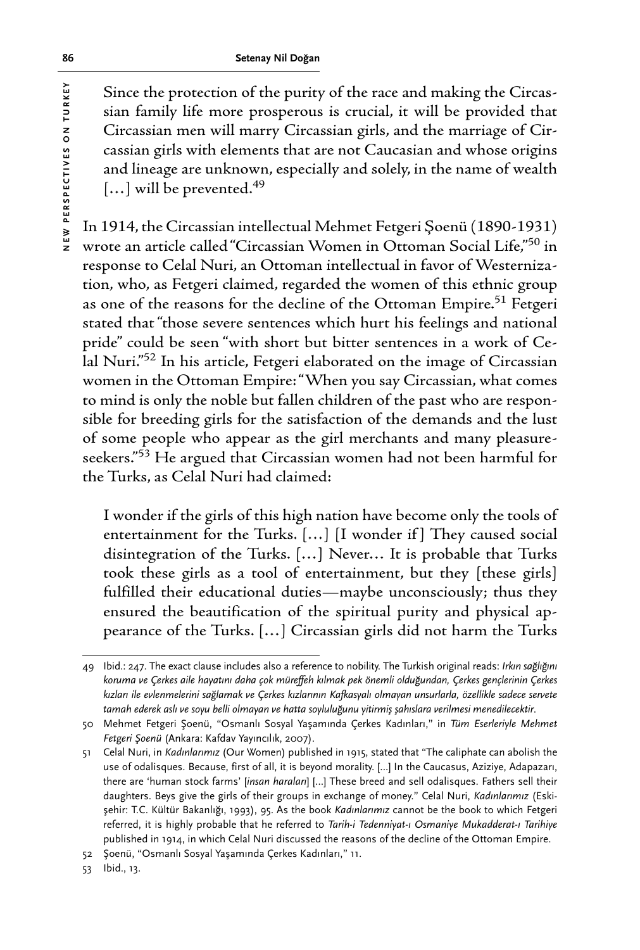Since the protection of the purity of the race and making the Circassian family life more prosperous is crucial, it will be provided that Circassian men will marry Circassian girls, and the marriage of Circassian girls with elements that are not Caucasian and whose origins and lineage are unknown, especially and solely, in the name of wealth  $[...]$  will be prevented.<sup>49</sup>

In 1914, the Circassian intellectual Mehmet Fetgeri Şoenü (1890-1931) wrote an article called "Circassian Women in Ottoman Social Life,"50 in response to Celal Nuri, an Ottoman intellectual in favor of Westernization, who, as Fetgeri claimed, regarded the women of this ethnic group as one of the reasons for the decline of the Ottoman Empire.<sup>51</sup> Fetgeri stated that "those severe sentences which hurt his feelings and national pride" could be seen "with short but bitter sentences in a work of Celal Nuri."52 In his article, Fetgeri elaborated on the image of Circassian women in the Ottoman Empire: "When you say Circassian, what comes to mind is only the noble but fallen children of the past who are responsible for breeding girls for the satisfaction of the demands and the lust of some people who appear as the girl merchants and many pleasureseekers."53 He argued that Circassian women had not been harmful for the Turks, as Celal Nuri had claimed:

I wonder if the girls of this high nation have become only the tools of entertainment for the Turks. […] [I wonder if ] They caused social disintegration of the Turks. […] Never… It is probable that Turks took these girls as a tool of entertainment, but they [these girls] fulfilled their educational duties—maybe unconsciously; thus they ensured the beautification of the spiritual purity and physical appearance of the Turks. […] Circassian girls did not harm the Turks

<sup>49</sup> Ibid.: 247. The exact clause includes also a reference to nobility. The Turkish original reads: *Irkın sağlığını koruma ve Çerkes aile hayatını daha çok müreffeh kılmak pek önemli olduğundan, Çerkes gençlerinin Çerkes kızları ile evlenmelerini sağlamak ve Çerkes kızlarının Kafkasyalı olmayan unsurlarla, özellikle sadece servete tamah ederek aslı ve soyu belli olmayan ve hatta soyluluğunu yitirmiş şahıslara verilmesi menedilecektir*.

<sup>50</sup> Mehmet Fetgeri Şoenü, "Osmanlı Sosyal Yaşamında Çerkes Kadınları," in *Tüm Eserleriyle Mehmet Fetgeri Şoenü* (Ankara: Kafdav Yayıncılık, 2007).

<sup>51</sup> Celal Nuri, in *Kadınlarımız* (Our Women) published in 1915, stated that "The caliphate can abolish the use of odalisques. Because, first of all, it is beyond morality. […] In the Caucasus, Aziziye, Adapazarı, there are 'human stock farms' [*insan haraları*] […] These breed and sell odalisques. Fathers sell their daughters. Beys give the girls of their groups in exchange of money." Celal Nuri, *Kadınlarımız* (Eskişehir: T.C. Kültür Bakanlığı, 1993), 95. As the book *Kadınlarımız* cannot be the book to which Fetgeri referred, it is highly probable that he referred to *Tarih-i Tedenniyat-ı Osmaniye Mukadderat-ı Tarihiye* published in 1914, in which Celal Nuri discussed the reasons of the decline of the Ottoman Empire.

<sup>52</sup> Şoenü, "Osmanlı Sosyal Yaşamında Çerkes Kadınları," 11.

<sup>53</sup> Ibid., 13.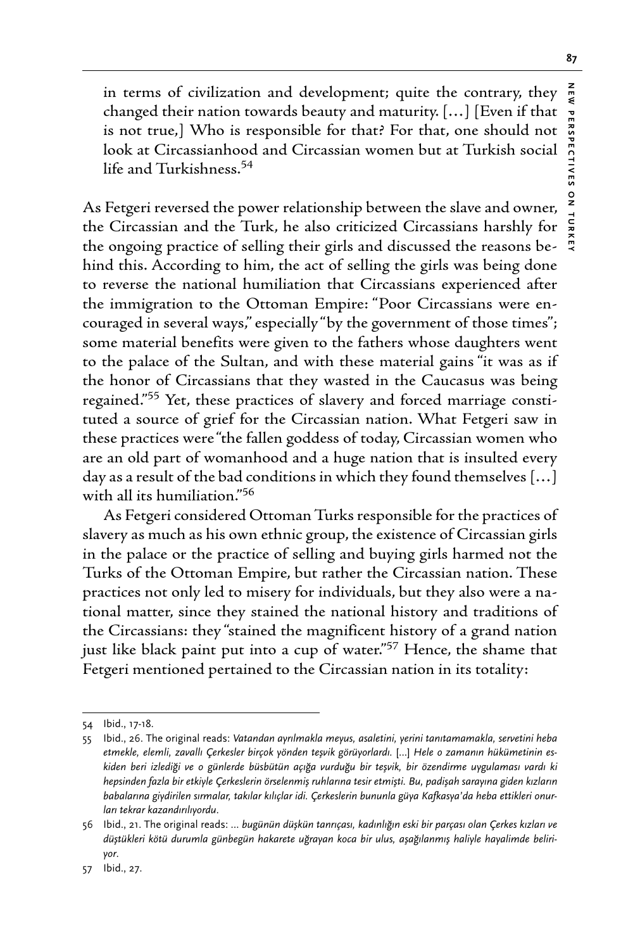in terms of civilization and development; quite the contrary, they changed their nation towards beauty and maturity. […] [Even if that is not true,] Who is responsible for that? For that, one should not look at Circassianhood and Circassian women but at Turkish social life and Turkishness.54

As Fetgeri reversed the power relationship between the slave and owner, the Circassian and the Turk, he also criticized Circassians harshly for the ongoing practice of selling their girls and discussed the reasons behind this. According to him, the act of selling the girls was being done to reverse the national humiliation that Circassians experienced after the immigration to the Ottoman Empire: "Poor Circassians were encouraged in several ways," especially "by the government of those times"; some material benefits were given to the fathers whose daughters went to the palace of the Sultan, and with these material gains "it was as if the honor of Circassians that they wasted in the Caucasus was being regained."55 Yet, these practices of slavery and forced marriage constituted a source of grief for the Circassian nation. What Fetgeri saw in these practices were "the fallen goddess of today, Circassian women who are an old part of womanhood and a huge nation that is insulted every day as a result of the bad conditions in which they found themselves […] with all its humiliation."56

As Fetgeri considered Ottoman Turks responsible for the practices of slavery as much as his own ethnic group, the existence of Circassian girls in the palace or the practice of selling and buying girls harmed not the Turks of the Ottoman Empire, but rather the Circassian nation. These practices not only led to misery for individuals, but they also were a national matter, since they stained the national history and traditions of the Circassians: they "stained the magnificent history of a grand nation just like black paint put into a cup of water."<sup>57</sup> Hence, the shame that Fetgeri mentioned pertained to the Circassian nation in its totality:

<sup>54</sup> Ibid., 17-18.

<sup>55</sup> Ibid., 26. The original reads: *Vatandan ayrılmakla meyus, asaletini, yerini tanıtamamakla, servetini heba etmekle, elemli, zavallı Çerkesler birçok yönden teşvik görüyorlardı.* […] *Hele o zamanın hükümetinin eskiden beri izlediği ve o günlerde büsbütün açığa vurduğu bir teşvik, bir özendirme uygulaması vardı ki hepsinden fazla bir etkiyle Çerkeslerin örselenmiş ruhlarına tesir etmişti. Bu, padişah sarayına giden kızların babalarına giydirilen sırmalar, takılar kılıçlar idi. Çerkeslerin bununla güya Kafkasya'da heba ettikleri onurları tekrar kazandırılıyordu*.

<sup>56</sup> Ibid., 21. The original reads: *… bugünün düşkün tanrıçası, kadınlığın eski bir parçası olan Çerkes kızları ve düştükleri kötü durumla günbegün hakarete uğrayan koca bir ulus, aşağılanmış haliyle hayalimde beliriyor*.

<sup>57</sup> Ibid., 27.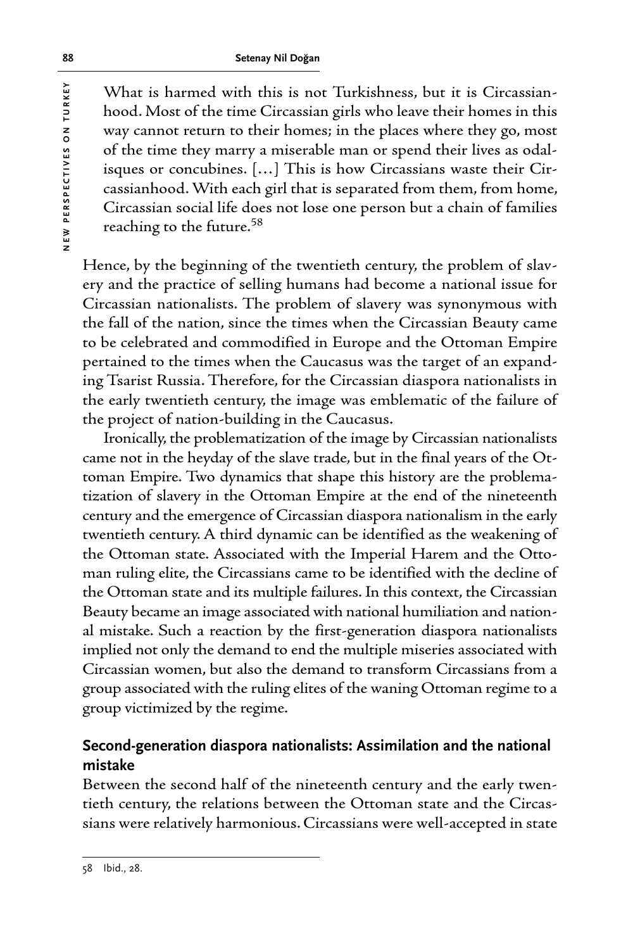What is harmed with this is not Turkishness, but it is Circassianhood. Most of the time Circassian girls who leave their homes in this way cannot return to their homes; in the places where they go, most of the time they marry a miserable man or spend their lives as odalisques or concubines. […] This is how Circassians waste their Circassianhood. With each girl that is separated from them, from home, Circassian social life does not lose one person but a chain of families reaching to the future.58

Hence, by the beginning of the twentieth century, the problem of slavery and the practice of selling humans had become a national issue for Circassian nationalists. The problem of slavery was synonymous with the fall of the nation, since the times when the Circassian Beauty came to be celebrated and commodified in Europe and the Ottoman Empire pertained to the times when the Caucasus was the target of an expanding Tsarist Russia. Therefore, for the Circassian diaspora nationalists in the early twentieth century, the image was emblematic of the failure of the project of nation-building in the Caucasus.

Ironically, the problematization of the image by Circassian nationalists came not in the heyday of the slave trade, but in the final years of the Ottoman Empire. Two dynamics that shape this history are the problematization of slavery in the Ottoman Empire at the end of the nineteenth century and the emergence of Circassian diaspora nationalism in the early twentieth century. A third dynamic can be identified as the weakening of the Ottoman state. Associated with the Imperial Harem and the Ottoman ruling elite, the Circassians came to be identified with the decline of the Ottoman state and its multiple failures. In this context, the Circassian Beauty became an image associated with national humiliation and national mistake. Such a reaction by the first-generation diaspora nationalists implied not only the demand to end the multiple miseries associated with Circassian women, but also the demand to transform Circassians from a group associated with the ruling elites of the waning Ottoman regime to a group victimized by the regime.

# **Second-generation diaspora nationalists: Assimilation and the national mistake**

Between the second half of the nineteenth century and the early twentieth century, the relations between the Ottoman state and the Circassians were relatively harmonious. Circassians were well-accepted in state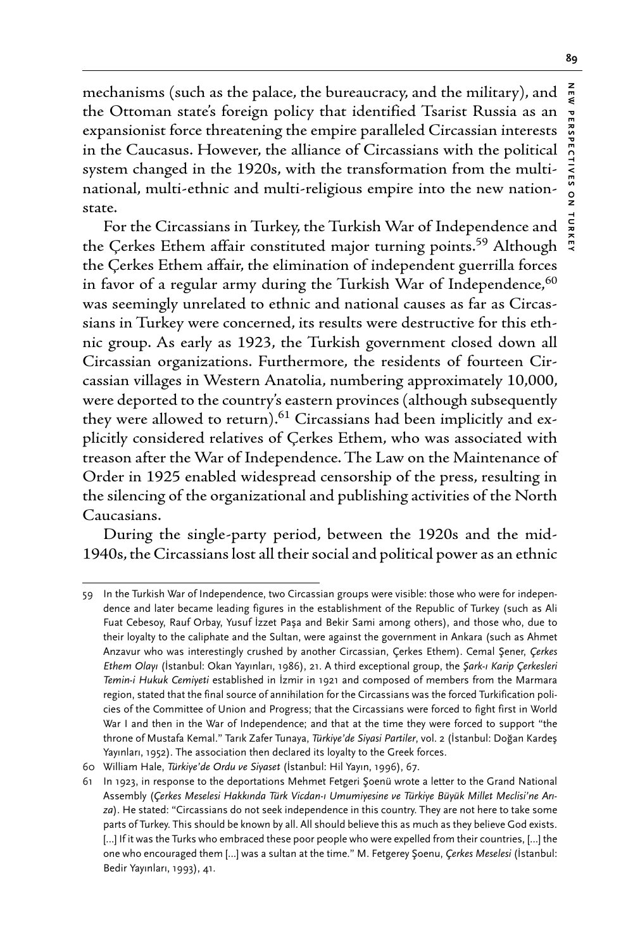**NEW PERSPECTIVES ON TURKEY**

 $\frac{1}{2}$ 

mechanisms (such as the palace, the bureaucracy, and the military), and  $\frac{z}{g}$ the Ottoman state's foreign policy that identified Tsarist Russia as an expansionist force threatening the empire paralleled Circassian interests in the Caucasus. However, the alliance of Circassians with the political system changed in the 1920s, with the transformation from the multinational, multi-ethnic and multi-religious empire into the new nationstate.

For the Circassians in Turkey, the Turkish War of Independence and the Çerkes Ethem affair constituted major turning points.<sup>59</sup> Although the Çerkes Ethem affair, the elimination of independent guerrilla forces in favor of a regular army during the Turkish War of Independence,  $60$ was seemingly unrelated to ethnic and national causes as far as Circassians in Turkey were concerned, its results were destructive for this ethnic group. As early as 1923, the Turkish government closed down all Circassian organizations. Furthermore, the residents of fourteen Circassian villages in Western Anatolia, numbering approximately 10,000, were deported to the country's eastern provinces (although subsequently they were allowed to return). $61$  Circassians had been implicitly and explicitly considered relatives of Çerkes Ethem, who was associated with treason after the War of Independence. The Law on the Maintenance of Order in 1925 enabled widespread censorship of the press, resulting in the silencing of the organizational and publishing activities of the North Caucasians.

During the single-party period, between the 1920s and the mid-1940s, the Circassians lost all their social and political power as an ethnic

<sup>59</sup> In the Turkish War of Independence, two Circassian groups were visible: those who were for independence and later became leading figures in the establishment of the Republic of Turkey (such as Ali Fuat Cebesoy, Rauf Orbay, Yusuf İzzet Paşa and Bekir Sami among others), and those who, due to their loyalty to the caliphate and the Sultan, were against the government in Ankara (such as Ahmet Anzavur who was interestingly crushed by another Circassian, Çerkes Ethem). Cemal Şener, *Çerkes Ethem Olayı* (İstanbul: Okan Yayınları, 1986), 21. A third exceptional group, the *Şark-ı Karip Çerkesleri Temin-i Hukuk Cemiyeti* established in İzmir in 1921 and composed of members from the Marmara region, stated that the final source of annihilation for the Circassians was the forced Turkification policies of the Committee of Union and Progress; that the Circassians were forced to fight first in World War I and then in the War of Independence; and that at the time they were forced to support "the throne of Mustafa Kemal." Tarık Zafer Tunaya, *Türkiye'de Siyasi Partiler*, vol. 2 (İstanbul: Doğan Kardeş Yayınları, 1952). The association then declared its loyalty to the Greek forces.

<sup>60</sup> William Hale, *Türkiye'de Ordu ve Siyaset* (İstanbul: Hil Yayın, 1996), 67.

<sup>61</sup> In 1923, in response to the deportations Mehmet Fetgeri Şoenü wrote a letter to the Grand National Assembly (*Çerkes Meselesi Hakkında Türk Vicdan-ı Umumiyesine ve Türkiye Büyük Millet Meclisi'ne Arıza*). He stated: "Circassians do not seek independence in this country. They are not here to take some parts of Turkey. This should be known by all. All should believe this as much as they believe God exists. [...] If it was the Turks who embraced these poor people who were expelled from their countries, [...] the one who encouraged them […] was a sultan at the time." M. Fetgerey Şoenu, *Çerkes Meselesi* (İstanbul: Bedir Yayınları, 1993), 41.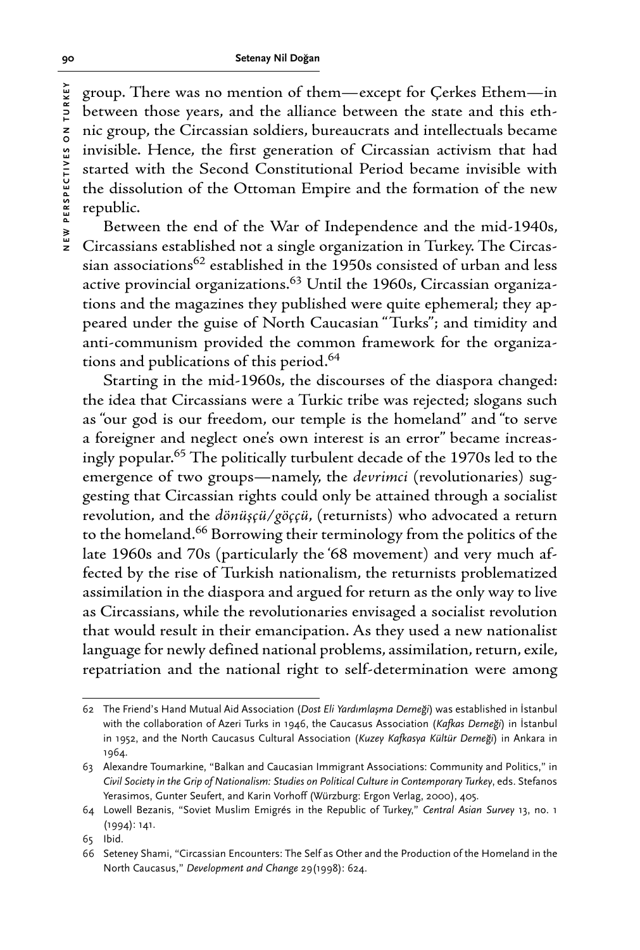group. There was no mention of them—except for Çerkes Ethem—in between those years, and the alliance between the state and this ethnic group, the Circassian soldiers, bureaucrats and intellectuals became invisible. Hence, the first generation of Circassian activism that had started with the Second Constitutional Period became invisible with the dissolution of the Ottoman Empire and the formation of the new republic.

Between the end of the War of Independence and the mid-1940s, Circassians established not a single organization in Turkey. The Circassian associations<sup>62</sup> established in the 1950s consisted of urban and less active provincial organizations.63 Until the 1960s, Circassian organizations and the magazines they published were quite ephemeral; they appeared under the guise of North Caucasian "Turks"; and timidity and anti-communism provided the common framework for the organizations and publications of this period.<sup>64</sup>

Starting in the mid-1960s, the discourses of the diaspora changed: the idea that Circassians were a Turkic tribe was rejected; slogans such as "our god is our freedom, our temple is the homeland" and "to serve a foreigner and neglect one's own interest is an error" became increasingly popular.65 The politically turbulent decade of the 1970s led to the emergence of two groups—namely, the *devrimci* (revolutionaries) suggesting that Circassian rights could only be attained through a socialist revolution, and the *dönüşçü/göççü*, (returnists) who advocated a return to the homeland.66 Borrowing their terminology from the politics of the late 1960s and 70s (particularly the '68 movement) and very much affected by the rise of Turkish nationalism, the returnists problematized assimilation in the diaspora and argued for return as the only way to live as Circassians, while the revolutionaries envisaged a socialist revolution that would result in their emancipation. As they used a new nationalist language for newly defined national problems, assimilation, return, exile, repatriation and the national right to self-determination were among

<sup>62</sup> The Friend's Hand Mutual Aid Association (*Dost Eli Yardımlaşma Derneği*) was established in İstanbul with the collaboration of Azeri Turks in 1946, the Caucasus Association (*Kafkas Derneği*) in İstanbul in 1952, and the North Caucasus Cultural Association (*Kuzey Kafkasya Kültür Derneği*) in Ankara in 1964.

<sup>63</sup> Alexandre Toumarkine, "Balkan and Caucasian Immigrant Associations: Community and Politics," in *Civil Society in the Grip of Nationalism: Studies on Political Culture in Contemporary Turkey*, eds. Stefanos Yerasimos, Gunter Seufert, and Karin Vorhoff (Würzburg: Ergon Verlag, 2000), 405.

<sup>64</sup> Lowell Bezanis, "Soviet Muslim Emigrés in the Republic of Turkey," *Central Asian Survey* 13, no. 1 (1994): 141.

<sup>65</sup> Ibid.

<sup>66</sup> Seteney Shami, "Circassian Encounters: The Self as Other and the Production of the Homeland in the North Caucasus," *Development and Change* 29(1998): 624.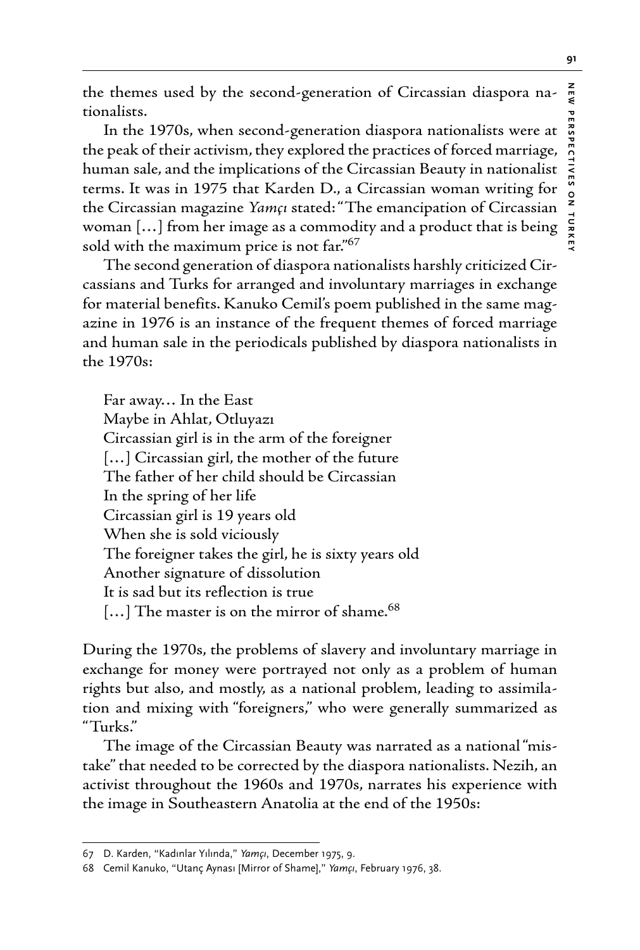**NEW PERSPECTIVES ON TURKEY** PERSPECTIVES

the themes used by the second-generation of Circassian diaspora nationalists.

In the 1970s, when second-generation diaspora nationalists were at the peak of their activism, they explored the practices of forced marriage, human sale, and the implications of the Circassian Beauty in nationalist terms. It was in 1975 that Karden D., a Circassian woman writing for the Circassian magazine *Yamçı* stated: "The emancipation of Circassian woman […] from her image as a commodity and a product that is being sold with the maximum price is not far."<sup>67</sup>

The second generation of diaspora nationalists harshly criticized Circassians and Turks for arranged and involuntary marriages in exchange for material benefits. Kanuko Cemil's poem published in the same magazine in 1976 is an instance of the frequent themes of forced marriage and human sale in the periodicals published by diaspora nationalists in the 1970s:

Far away… In the East Maybe in Ahlat, Otluyazı Circassian girl is in the arm of the foreigner [...] Circassian girl, the mother of the future The father of her child should be Circassian In the spring of her life Circassian girl is 19 years old When she is sold viciously The foreigner takes the girl, he is sixty years old Another signature of dissolution It is sad but its reflection is true [...] The master is on the mirror of shame.<sup>68</sup>

During the 1970s, the problems of slavery and involuntary marriage in exchange for money were portrayed not only as a problem of human rights but also, and mostly, as a national problem, leading to assimilation and mixing with "foreigners," who were generally summarized as "Turks."

The image of the Circassian Beauty was narrated as a national "mistake" that needed to be corrected by the diaspora nationalists. Nezih, an activist throughout the 1960s and 1970s, narrates his experience with the image in Southeastern Anatolia at the end of the 1950s:

<sup>67</sup> D. Karden, "Kadınlar Yılında," *Yamçı*, December 1975, 9.

<sup>68</sup> Cemil Kanuko, "Utanç Aynası [Mirror of Shame]," *Yamçı*, February 1976, 38.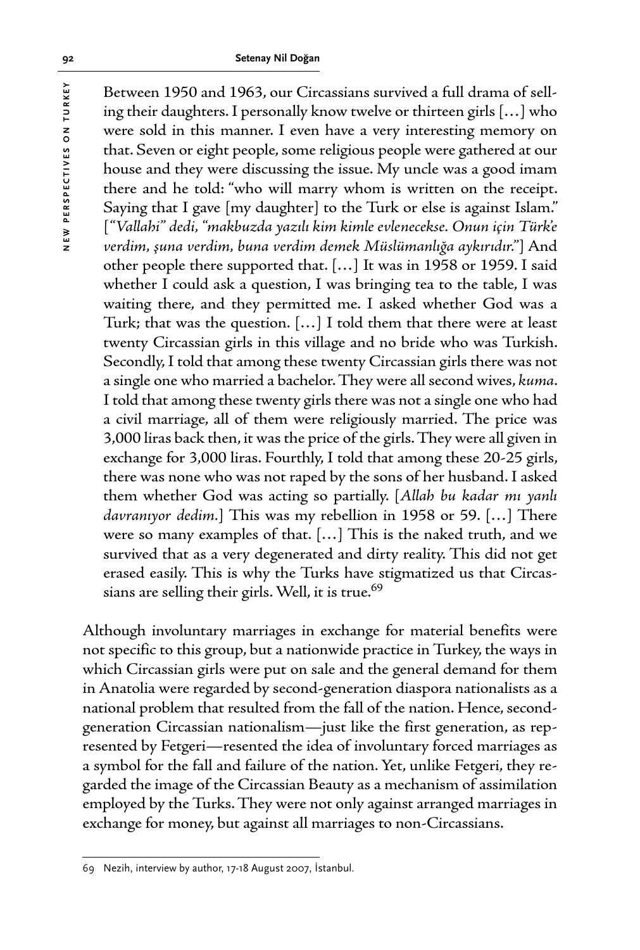Between 1950 and 1963, our Circassians survived a full drama of selling their daughters. I personally know twelve or thirteen girls […] who were sold in this manner. I even have a very interesting memory on that. Seven or eight people, some religious people were gathered at our house and they were discussing the issue. My uncle was a good imam there and he told: "who will marry whom is written on the receipt. Saying that I gave [my daughter] to the Turk or else is against Islam." [*"Vallahi" dedi, "makbuzda yazılı kim kimle evlenecekse. Onun için Türk'e verdim, şuna verdim, buna verdim demek Müslümanlığa aykırıdır."*] And other people there supported that. […] It was in 1958 or 1959. I said whether I could ask a question, I was bringing tea to the table, I was waiting there, and they permitted me. I asked whether God was a Turk; that was the question. […] I told them that there were at least twenty Circassian girls in this village and no bride who was Turkish. Secondly, I told that among these twenty Circassian girls there was not a single one who married a bachelor. They were all second wives, *kuma*. I told that among these twenty girls there was not a single one who had a civil marriage, all of them were religiously married. The price was 3,000 liras back then, it was the price of the girls. They were all given in exchange for 3,000 liras. Fourthly, I told that among these 20-25 girls, there was none who was not raped by the sons of her husband. I asked them whether God was acting so partially. [*Allah bu kadar mı yanlı davranıyor dedim.*] This was my rebellion in 1958 or 59. […] There were so many examples of that. […] This is the naked truth, and we survived that as a very degenerated and dirty reality. This did not get erased easily. This is why the Turks have stigmatized us that Circassians are selling their girls. Well, it is true.<sup>69</sup>

Although involuntary marriages in exchange for material benefits were not specific to this group, but a nationwide practice in Turkey, the ways in which Circassian girls were put on sale and the general demand for them in Anatolia were regarded by second-generation diaspora nationalists as a national problem that resulted from the fall of the nation. Hence, secondgeneration Circassian nationalism—just like the first generation, as represented by Fetgeri—resented the idea of involuntary forced marriages as a symbol for the fall and failure of the nation. Yet, unlike Fetgeri, they regarded the image of the Circassian Beauty as a mechanism of assimilation employed by the Turks. They were not only against arranged marriages in exchange for money, but against all marriages to non-Circassians.

<sup>69</sup> Nezih, interview by author, 17-18 August 2007, İstanbul.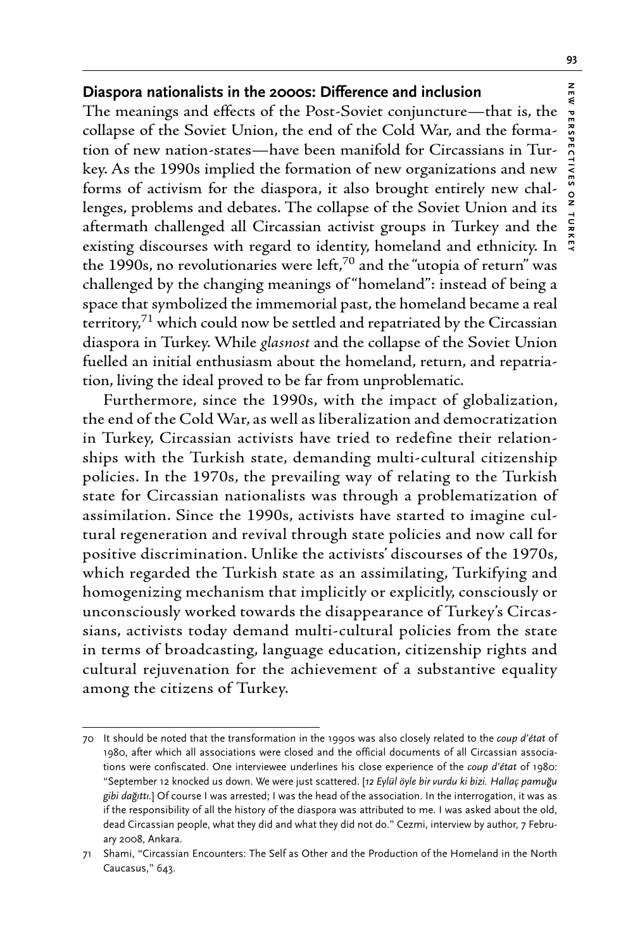# **Diaspora nationalists in the 2000s: Difference and inclusion**

The meanings and effects of the Post-Soviet conjuncture—that is, the collapse of the Soviet Union, the end of the Cold War, and the formation of new nation-states—have been manifold for Circassians in Turkey. As the 1990s implied the formation of new organizations and new forms of activism for the diaspora, it also brought entirely new challenges, problems and debates. The collapse of the Soviet Union and its aftermath challenged all Circassian activist groups in Turkey and the existing discourses with regard to identity, homeland and ethnicity. In the 1990s, no revolutionaries were left, $^{70}$  and the "utopia of return" was challenged by the changing meanings of "homeland": instead of being a space that symbolized the immemorial past, the homeland became a real territory,<sup>71</sup> which could now be settled and repatriated by the Circassian diaspora in Turkey. While *glasnost* and the collapse of the Soviet Union fuelled an initial enthusiasm about the homeland, return, and repatriation, living the ideal proved to be far from unproblematic.

Furthermore, since the 1990s, with the impact of globalization, the end of the Cold War, as well as liberalization and democratization in Turkey, Circassian activists have tried to redefine their relationships with the Turkish state, demanding multi-cultural citizenship policies. In the 1970s, the prevailing way of relating to the Turkish state for Circassian nationalists was through a problematization of assimilation. Since the 1990s, activists have started to imagine cultural regeneration and revival through state policies and now call for positive discrimination. Unlike the activists' discourses of the 1970s, which regarded the Turkish state as an assimilating, Turkifying and homogenizing mechanism that implicitly or explicitly, consciously or unconsciously worked towards the disappearance of Turkey's Circassians, activists today demand multi-cultural policies from the state in terms of broadcasting, language education, citizenship rights and cultural rejuvenation for the achievement of a substantive equality among the citizens of Turkey.

NEW

**NEW PERSPECTIVES ON TURKEY**

 $\frac{0}{2}$ 

PERSPECTIVES

<sup>70</sup> It should be noted that the transformation in the 1990s was also closely related to the *coup d'état* of 1980, after which all associations were closed and the official documents of all Circassian associations were confiscated. One interviewee underlines his close experience of the *coup d'état* of 1980: "September 12 knocked us down. We were just scattered. [*12 Eylül öyle bir vurdu ki bizi. Hallaç pamuğu gibi dağıttı.*] Of course I was arrested; I was the head of the association. In the interrogation, it was as if the responsibility of all the history of the diaspora was attributed to me. I was asked about the old, dead Circassian people, what they did and what they did not do." Cezmi, interview by author, 7 February 2008, Ankara.

<sup>71</sup> Shami, "Circassian Encounters: The Self as Other and the Production of the Homeland in the North Caucasus," 643.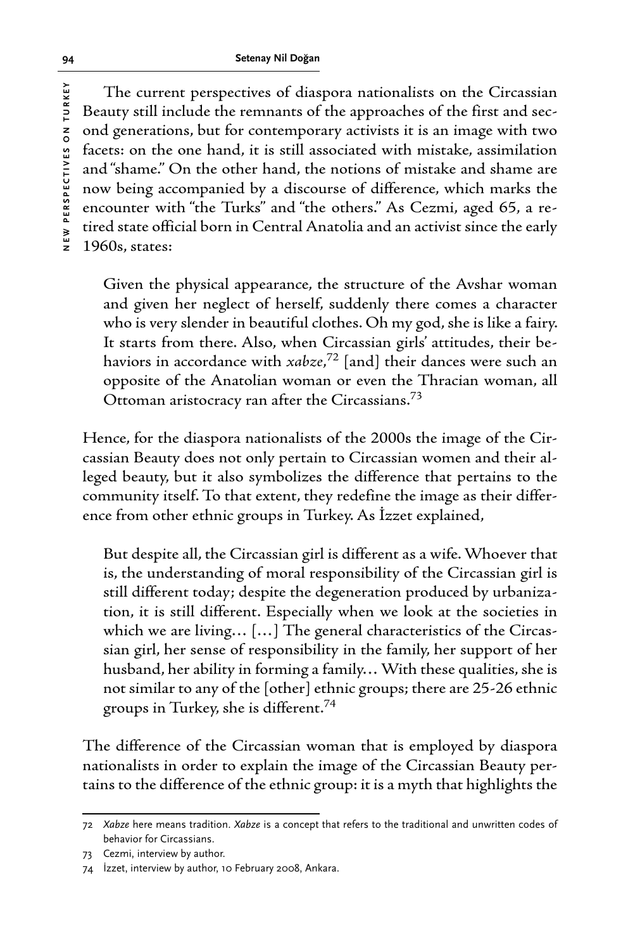The current perspectives of diaspora nationalists on the Circassian Beauty still include the remnants of the approaches of the first and second generations, but for contemporary activists it is an image with two facets: on the one hand, it is still associated with mistake, assimilation and "shame." On the other hand, the notions of mistake and shame are now being accompanied by a discourse of difference, which marks the encounter with "the Turks" and "the others." As Cezmi, aged 65, a retired state official born in Central Anatolia and an activist since the early 1960s, states:

Given the physical appearance, the structure of the Avshar woman and given her neglect of herself, suddenly there comes a character who is very slender in beautiful clothes. Oh my god, she is like a fairy. It starts from there. Also, when Circassian girls' attitudes, their behaviors in accordance with *xabze*, 72 [and] their dances were such an opposite of the Anatolian woman or even the Thracian woman, all Ottoman aristocracy ran after the Circassians.73

Hence, for the diaspora nationalists of the 2000s the image of the Circassian Beauty does not only pertain to Circassian women and their alleged beauty, but it also symbolizes the difference that pertains to the community itself. To that extent, they redefine the image as their difference from other ethnic groups in Turkey. As İzzet explained,

But despite all, the Circassian girl is different as a wife. Whoever that is, the understanding of moral responsibility of the Circassian girl is still different today; despite the degeneration produced by urbanization, it is still different. Especially when we look at the societies in which we are living… […] The general characteristics of the Circassian girl, her sense of responsibility in the family, her support of her husband, her ability in forming a family… With these qualities, she is not similar to any of the [other] ethnic groups; there are 25-26 ethnic groups in Turkey, she is different.74

The difference of the Circassian woman that is employed by diaspora nationalists in order to explain the image of the Circassian Beauty pertains to the difference of the ethnic group: it is a myth that highlights the

<sup>72</sup> *Xabze* here means tradition. *Xabze* is a concept that refers to the traditional and unwritten codes of behavior for Circassians.

<sup>73</sup> Cezmi, interview by author.

<sup>74</sup> İzzet, interview by author, 10 February 2008, Ankara.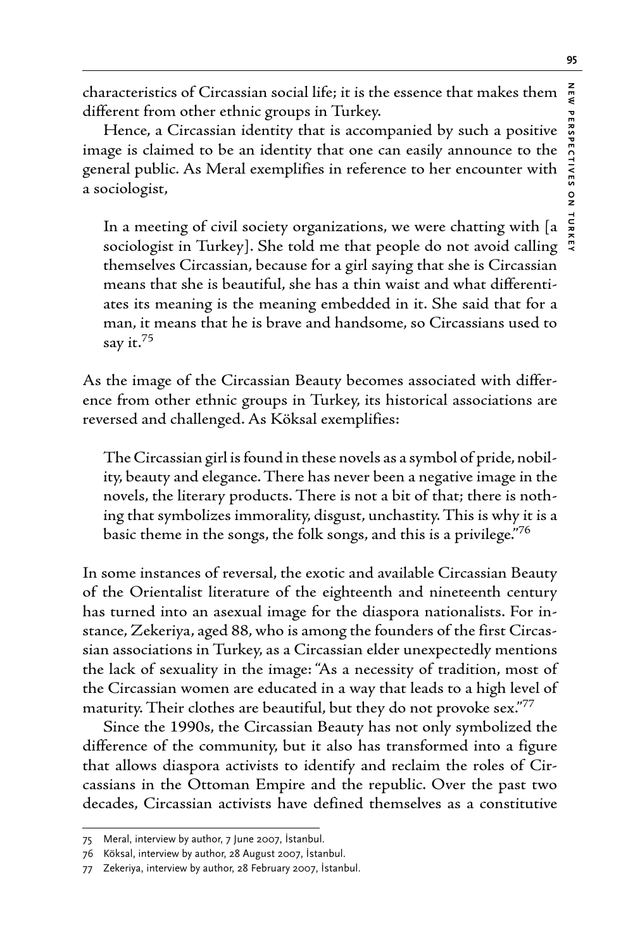characteristics of Circassian social life; it is the essence that makes them different from other ethnic groups in Turkey.

Hence, a Circassian identity that is accompanied by such a positive image is claimed to be an identity that one can easily announce to the general public. As Meral exemplifies in reference to her encounter with a sociologist,

In a meeting of civil society organizations, we were chatting with [a sociologist in Turkey]. She told me that people do not avoid calling themselves Circassian, because for a girl saying that she is Circassian means that she is beautiful, she has a thin waist and what differentiates its meaning is the meaning embedded in it. She said that for a man, it means that he is brave and handsome, so Circassians used to say it.<sup>75</sup>

As the image of the Circassian Beauty becomes associated with difference from other ethnic groups in Turkey, its historical associations are reversed and challenged. As Köksal exemplifies:

The Circassian girl is found in these novels as a symbol of pride, nobility, beauty and elegance. There has never been a negative image in the novels, the literary products. There is not a bit of that; there is nothing that symbolizes immorality, disgust, unchastity. This is why it is a basic theme in the songs, the folk songs, and this is a privilege."76

In some instances of reversal, the exotic and available Circassian Beauty of the Orientalist literature of the eighteenth and nineteenth century has turned into an asexual image for the diaspora nationalists. For instance, Zekeriya, aged 88, who is among the founders of the first Circassian associations in Turkey, as a Circassian elder unexpectedly mentions the lack of sexuality in the image: "As a necessity of tradition, most of the Circassian women are educated in a way that leads to a high level of maturity. Their clothes are beautiful, but they do not provoke sex." $\frac{7}{7}$ 

Since the 1990s, the Circassian Beauty has not only symbolized the difference of the community, but it also has transformed into a figure that allows diaspora activists to identify and reclaim the roles of Circassians in the Ottoman Empire and the republic. Over the past two decades, Circassian activists have defined themselves as a constitutive

<sup>75</sup> Meral, interview by author, 7 June 2007, İstanbul.

<sup>76</sup> Köksal, interview by author, 28 August 2007, İstanbul.

<sup>77</sup> Zekeriya, interview by author, 28 February 2007, İstanbul.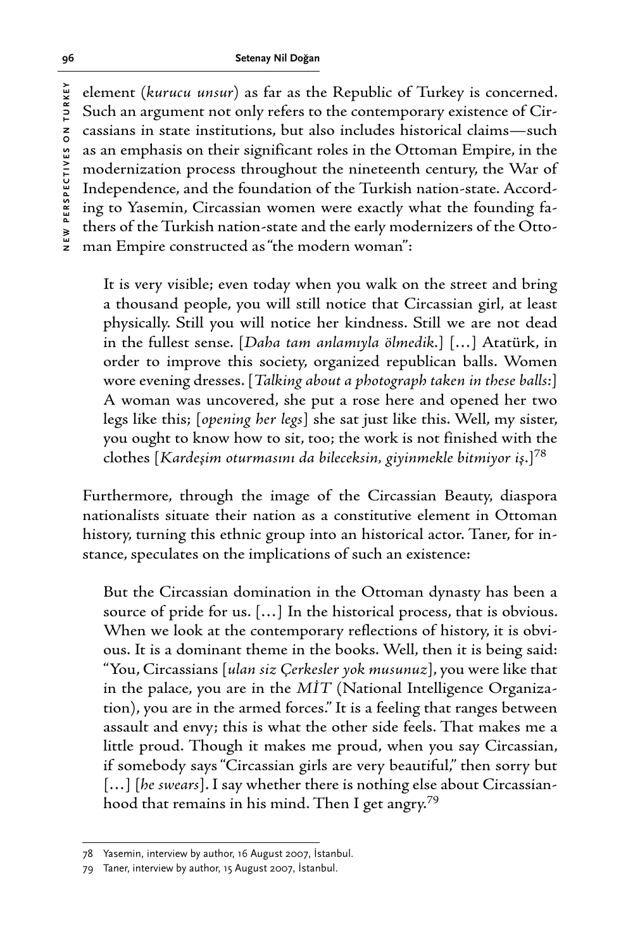element (*kurucu unsur*) as far as the Republic of Turkey is concerned. Such an argument not only refers to the contemporary existence of Circassians in state institutions, but also includes historical claims—such as an emphasis on their significant roles in the Ottoman Empire, in the modernization process throughout the nineteenth century, the War of Independence, and the foundation of the Turkish nation-state. According to Yasemin, Circassian women were exactly what the founding fathers of the Turkish nation-state and the early modernizers of the Ottoman Empire constructed as "the modern woman":

It is very visible; even today when you walk on the street and bring a thousand people, you will still notice that Circassian girl, at least physically. Still you will notice her kindness. Still we are not dead in the fullest sense. [*Daha tam anlamıyla ölmedik*.] […] Atatürk, in order to improve this society, organized republican balls. Women wore evening dresses. [*Talking about a photograph taken in these balls:*] A woman was uncovered, she put a rose here and opened her two legs like this; [*opening her legs*] she sat just like this. Well, my sister, you ought to know how to sit, too; the work is not finished with the clothes [*Kardeşim oturmasını da bileceksin, giyinmekle bitmiyor iş*.]78

Furthermore, through the image of the Circassian Beauty, diaspora nationalists situate their nation as a constitutive element in Ottoman history, turning this ethnic group into an historical actor. Taner, for instance, speculates on the implications of such an existence:

But the Circassian domination in the Ottoman dynasty has been a source of pride for us. […] In the historical process, that is obvious. When we look at the contemporary reflections of history, it is obvious. It is a dominant theme in the books. Well, then it is being said: "You, Circassians [*ulan siz Çerkesler yok musunuz*], you were like that in the palace, you are in the *MİT* (National Intelligence Organization), you are in the armed forces." It is a feeling that ranges between assault and envy; this is what the other side feels. That makes me a little proud. Though it makes me proud, when you say Circassian, if somebody says "Circassian girls are very beautiful," then sorry but [...] [he swears]. I say whether there is nothing else about Circassianhood that remains in his mind. Then I get angry.79

<sup>78</sup> Yasemin, interview by author, 16 August 2007, İstanbul.

<sup>79</sup> Taner, interview by author, 15 August 2007, İstanbul.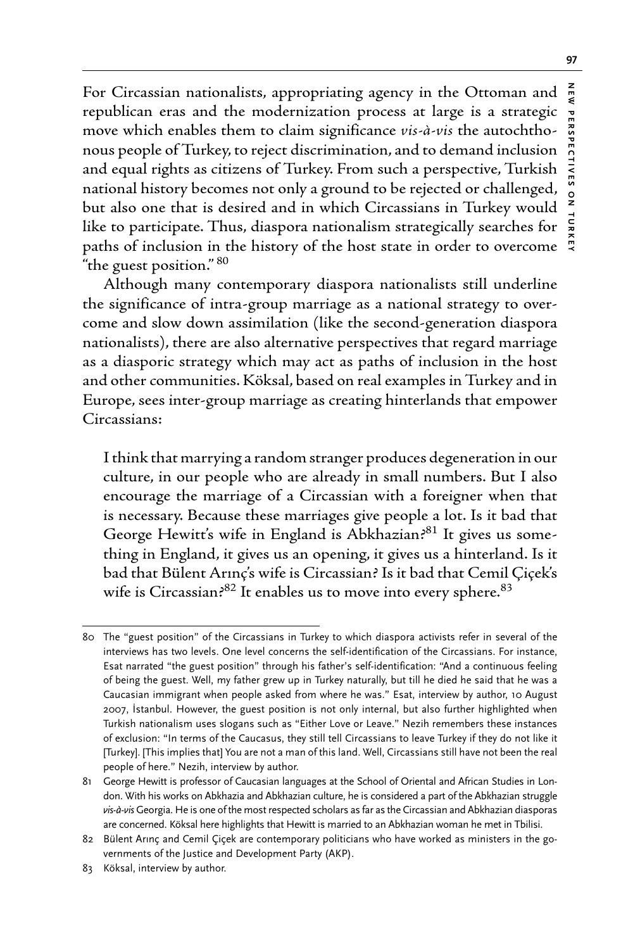For Circassian nationalists, appropriating agency in the Ottoman and republican eras and the modernization process at large is a strategic move which enables them to claim significance *vis-à-vis* the autochthonous people of Turkey, to reject discrimination, and to demand inclusion and equal rights as citizens of Turkey. From such a perspective, Turkish national history becomes not only a ground to be rejected or challenged, but also one that is desired and in which Circassians in Turkey would like to participate. Thus, diaspora nationalism strategically searches for paths of inclusion in the history of the host state in order to overcome "the guest position." 80

Although many contemporary diaspora nationalists still underline the significance of intra-group marriage as a national strategy to overcome and slow down assimilation (like the second-generation diaspora nationalists), there are also alternative perspectives that regard marriage as a diasporic strategy which may act as paths of inclusion in the host and other communities. Köksal, based on real examples in Turkey and in Europe, sees inter-group marriage as creating hinterlands that empower Circassians:

I think that marrying a random stranger produces degeneration in our culture, in our people who are already in small numbers. But I also encourage the marriage of a Circassian with a foreigner when that is necessary. Because these marriages give people a lot. Is it bad that George Hewitt's wife in England is Abkhazian?<sup>81</sup> It gives us something in England, it gives us an opening, it gives us a hinterland. Is it bad that Bülent Arınç's wife is Circassian? Is it bad that Cemil Çiçek's wife is Circassian?<sup>82</sup> It enables us to move into every sphere.<sup>83</sup>

**NEW PERSPECTIVES ON TURKEY**

 $\frac{1}{2}$ 

<sup>80</sup> The "guest position" of the Circassians in Turkey to which diaspora activists refer in several of the interviews has two levels. One level concerns the self-identification of the Circassians. For instance, Esat narrated "the guest position" through his father's self-identification: "And a continuous feeling of being the guest. Well, my father grew up in Turkey naturally, but till he died he said that he was a Caucasian immigrant when people asked from where he was." Esat, interview by author, 10 August 2007, İstanbul. However, the guest position is not only internal, but also further highlighted when Turkish nationalism uses slogans such as "Either Love or Leave." Nezih remembers these instances of exclusion: "In terms of the Caucasus, they still tell Circassians to leave Turkey if they do not like it [Turkey]. [This implies that] You are not a man of this land. Well, Circassians still have not been the real people of here." Nezih, interview by author.

<sup>81</sup> George Hewitt is professor of Caucasian languages at the School of Oriental and African Studies in London. With his works on Abkhazia and Abkhazian culture, he is considered a part of the Abkhazian struggle *vis-à-vis* Georgia. He is one of the most respected scholars as far as the Circassian and Abkhazian diasporas are concerned. Köksal here highlights that Hewitt is married to an Abkhazian woman he met in Tbilisi.

<sup>82</sup> Bülent Arınç and Cemil Çiçek are contemporary politicians who have worked as ministers in the governments of the Justice and Development Party (AKP).

<sup>83</sup> Köksal, interview by author.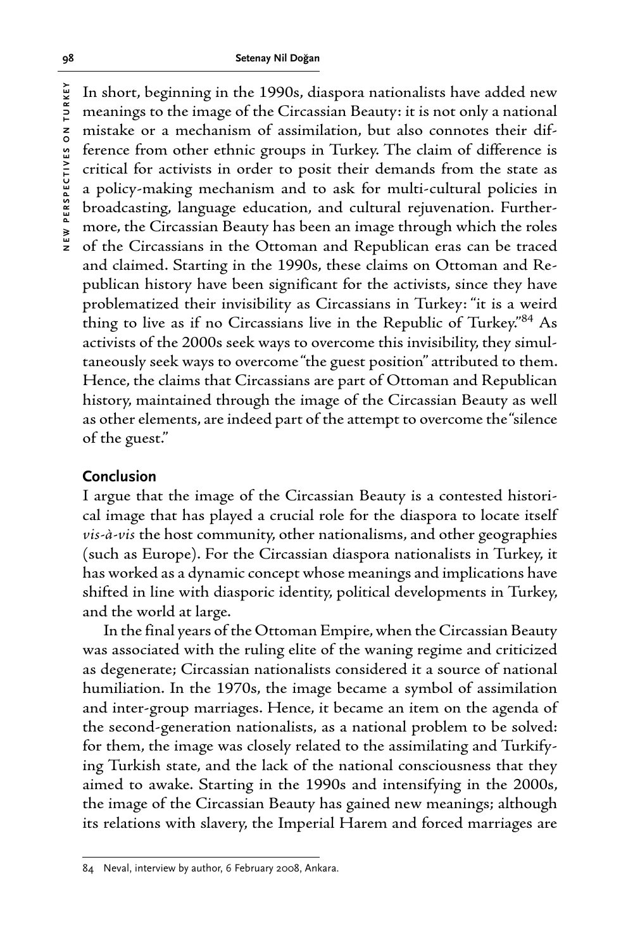NEW PERSPECTIVES ON TURKEY **NEW PERSPECTIVES ON TURKEY**

In short, beginning in the 1990s, diaspora nationalists have added new meanings to the image of the Circassian Beauty: it is not only a national mistake or a mechanism of assimilation, but also connotes their difference from other ethnic groups in Turkey. The claim of difference is critical for activists in order to posit their demands from the state as a policy-making mechanism and to ask for multi-cultural policies in broadcasting, language education, and cultural rejuvenation. Furthermore, the Circassian Beauty has been an image through which the roles of the Circassians in the Ottoman and Republican eras can be traced and claimed. Starting in the 1990s, these claims on Ottoman and Republican history have been significant for the activists, since they have problematized their invisibility as Circassians in Turkey: "it is a weird thing to live as if no Circassians live in the Republic of Turkey."84 As activists of the 2000s seek ways to overcome this invisibility, they simultaneously seek ways to overcome "the guest position" attributed to them. Hence, the claims that Circassians are part of Ottoman and Republican history, maintained through the image of the Circassian Beauty as well as other elements, are indeed part of the attempt to overcome the "silence of the guest."

## **Conclusion**

I argue that the image of the Circassian Beauty is a contested historical image that has played a crucial role for the diaspora to locate itself *vis-à-vis* the host community, other nationalisms, and other geographies (such as Europe). For the Circassian diaspora nationalists in Turkey, it has worked as a dynamic concept whose meanings and implications have shifted in line with diasporic identity, political developments in Turkey, and the world at large.

In the final years of the Ottoman Empire, when the Circassian Beauty was associated with the ruling elite of the waning regime and criticized as degenerate; Circassian nationalists considered it a source of national humiliation. In the 1970s, the image became a symbol of assimilation and inter-group marriages. Hence, it became an item on the agenda of the second-generation nationalists, as a national problem to be solved: for them, the image was closely related to the assimilating and Turkifying Turkish state, and the lack of the national consciousness that they aimed to awake. Starting in the 1990s and intensifying in the 2000s, the image of the Circassian Beauty has gained new meanings; although its relations with slavery, the Imperial Harem and forced marriages are

<sup>84</sup> Neval, interview by author, 6 February 2008, Ankara.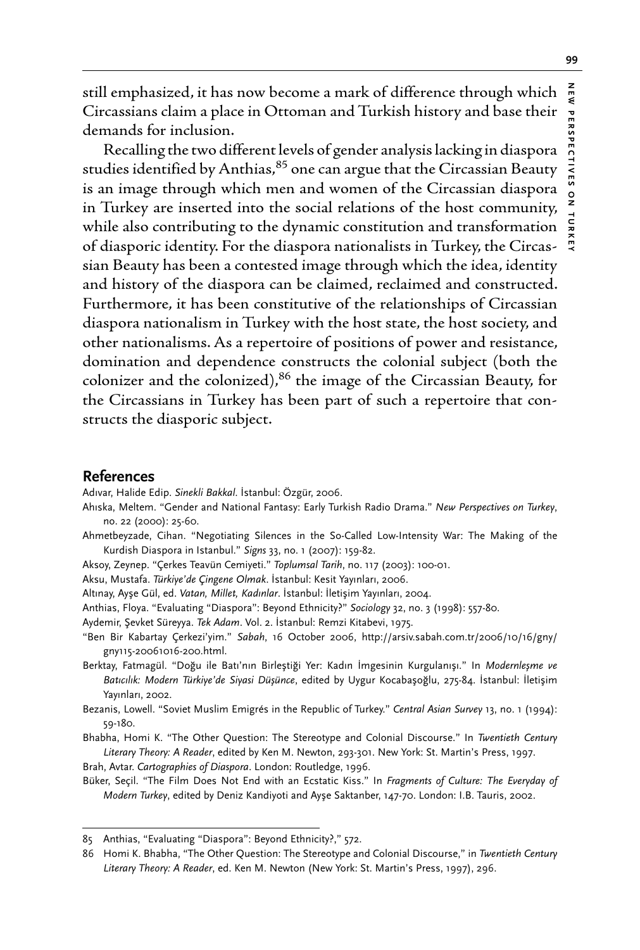still emphasized, it has now become a mark of difference through which  $\frac{z}{3}$ Circassians claim a place in Ottoman and Turkish history and base their demands for inclusion.

Recalling the two different levels of gender analysis lacking in diaspora studies identified by Anthias, $85$  one can argue that the Circassian Beauty is an image through which men and women of the Circassian diaspora in Turkey are inserted into the social relations of the host community, while also contributing to the dynamic constitution and transformation of diasporic identity. For the diaspora nationalists in Turkey, the Circassian Beauty has been a contested image through which the idea, identity and history of the diaspora can be claimed, reclaimed and constructed. Furthermore, it has been constitutive of the relationships of Circassian diaspora nationalism in Turkey with the host state, the host society, and other nationalisms. As a repertoire of positions of power and resistance, domination and dependence constructs the colonial subject (both the colonizer and the colonized), $86$  the image of the Circassian Beauty, for the Circassians in Turkey has been part of such a repertoire that constructs the diasporic subject.

#### **References**

Adıvar, Halide Edip. *Sinekli Bakkal*. İstanbul: Özgür, 2006.

- Ahıska, Meltem. "Gender and National Fantasy: Early Turkish Radio Drama." *New Perspectives on Turkey*, no. 22 (2000): 25-60.
- Ahmetbeyzade, Cihan. "Negotiating Silences in the So-Called Low-Intensity War: The Making of the Kurdish Diaspora in Istanbul." *Signs* 33, no. 1 (2007): 159-82.
- Aksoy, Zeynep. "Çerkes Teavün Cemiyeti." *Toplumsal Tarih*, no. 117 (2003): 100-01.

Aksu, Mustafa. *Türkiye'de Çingene Olmak*. İstanbul: Kesit Yayınları, 2006.

- Altınay, Ayşe Gül, ed. *Vatan, Millet, Kadınlar*. İstanbul: İletişim Yayınları, 2004.
- Anthias, Floya. "Evaluating "Diaspora": Beyond Ethnicity?" *Sociology* 32, no. 3 (1998): 557-80.
- Aydemir, Şevket Süreyya. *Tek Adam*. Vol. 2. İstanbul: Remzi Kitabevi, 1975.
- "Ben Bir Kabartay Çerkezi'yim." *Sabah*, 16 October 2006, http://arsiv.sabah.com.tr/2006/10/16/gny/ gny115-20061016-200.html.
- Berktay, Fatmagül. "Doğu ile Batı'nın Birleştiği Yer: Kadın İmgesinin Kurgulanışı." In *Modernleşme ve Batıcılık: Modern Türkiye'de Siyasi Düşünce*, edited by Uygur Kocabaşoğlu, 275-84. İstanbul: İletişim Yayınları, 2002.
- Bezanis, Lowell. "Soviet Muslim Emigrés in the Republic of Turkey." *Central Asian Survey* 13, no. 1 (1994): 59-180.
- Bhabha, Homi K. "The Other Question: The Stereotype and Colonial Discourse." In *Twentieth Century Literary Theory: A Reader*, edited by Ken M. Newton, 293-301. New York: St. Martin's Press, 1997.

Brah, Avtar. *Cartographies of Diaspora*. London: Routledge, 1996.

Büker, Seçil. "The Film Does Not End with an Ecstatic Kiss." In *Fragments of Culture: The Everyday of Modern Turkey*, edited by Deniz Kandiyoti and Ayşe Saktanber, 147-70. London: I.B. Tauris, 2002.

<sup>85</sup> Anthias, "Evaluating "Diaspora": Beyond Ethnicity?," 572.

<sup>86</sup> Homi K. Bhabha, "The Other Question: The Stereotype and Colonial Discourse," in *Twentieth Century Literary Theory: A Reader*, ed. Ken M. Newton (New York: St. Martin's Press, 1997), 296.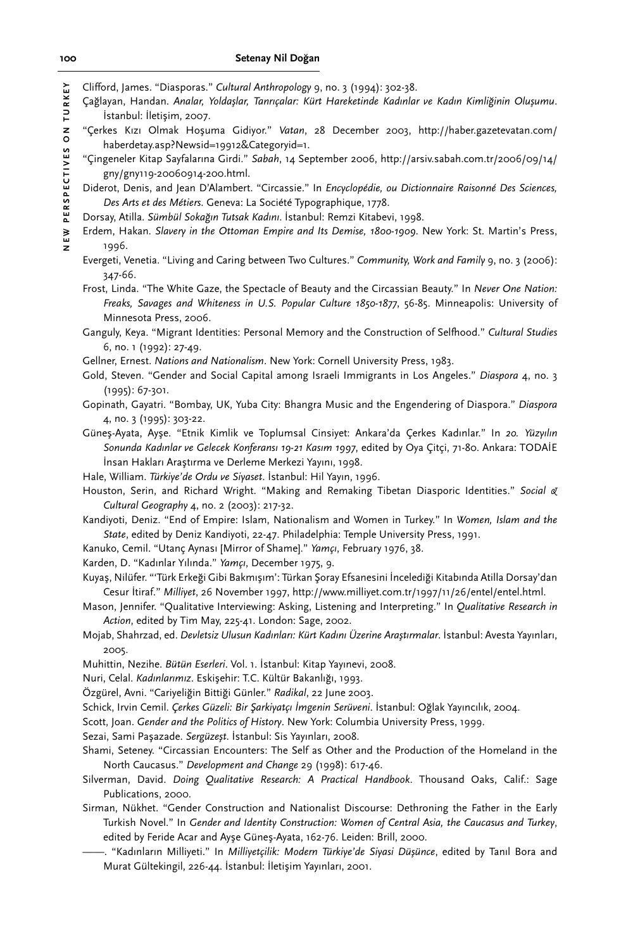Clifford, James. "Diasporas." *Cultural Anthropology* 9, no. 3 (1994): 302-38.

Çağlayan, Handan. *Analar, Yoldaşlar, Tanrıçalar: Kürt Hareketinde Kadınlar ve Kadın Kimliğinin Oluşumu*. İstanbul: İletişim, 2007.

- "Çerkes Kızı Olmak Hoşuma Gidiyor." *Vatan*, 28 December 2003, http://haber.gazetevatan.com/ haberdetay.asp?Newsid=19912&Categoryid=1.
- "Çingeneler Kitap Sayfalarına Girdi." *Sabah*, 14 September 2006, http://arsiv.sabah.com.tr/2006/09/14/ gny/gny119-20060914-200.html.
- Diderot, Denis, and Jean D'Alambert. "Circassie." In *Encyclopédie, ou Dictionnaire Raisonné Des Sciences, Des Arts et des Métiers*. Geneva: La Société Typographique, 1778.
- Dorsay, Atilla. *Sümbül Sokağın Tutsak Kadını*. İstanbul: Remzi Kitabevi, 1998.
- Erdem, Hakan. *Slavery in the Ottoman Empire and Its Demise, 1800-1909*. New York: St. Martin's Press, 1996.
- Evergeti, Venetia. "Living and Caring between Two Cultures." *Community, Work and Family* 9, no. 3 (2006): 347-66.
- Frost, Linda. "The White Gaze, the Spectacle of Beauty and the Circassian Beauty." In *Never One Nation: Freaks, Savages and Whiteness in U.S. Popular Culture 1850-1877*, 56-85. Minneapolis: University of Minnesota Press, 2006.

Ganguly, Keya. "Migrant Identities: Personal Memory and the Construction of Selfhood." *Cultural Studies*  6, no. 1 (1992): 27-49.

- Gellner, Ernest. *Nations and Nationalism*. New York: Cornell University Press, 1983.
- Gold, Steven. "Gender and Social Capital among Israeli Immigrants in Los Angeles." *Diaspora* 4, no. 3 (1995): 67-301.
- Gopinath, Gayatri. "Bombay, UK, Yuba City: Bhangra Music and the Engendering of Diaspora." *Diaspora*  4, no. 3 (1995): 303-22.
- Güneş-Ayata, Ayşe. "Etnik Kimlik ve Toplumsal Cinsiyet: Ankara'da Çerkes Kadınlar." In *20. Yüzyılın Sonunda Kadınlar ve Gelecek Konferansı 19-21 Kasım 1997*, edited by Oya Çitçi, 71-80. Ankara: TODAİE İnsan Hakları Araştırma ve Derleme Merkezi Yayını, 1998.
- Hale, William. *Türkiye'de Ordu ve Siyaset*. İstanbul: Hil Yayın, 1996.
- Houston, Serin, and Richard Wright. "Making and Remaking Tibetan Diasporic Identities." *Social & Cultural Geography* 4, no. 2 (2003): 217-32.
- Kandiyoti, Deniz. "End of Empire: Islam, Nationalism and Women in Turkey." In *Women, Islam and the State*, edited by Deniz Kandiyoti, 22-47. Philadelphia: Temple University Press, 1991.
- Kanuko, Cemil. "Utanç Aynası [Mirror of Shame]." *Yamçı*, February 1976, 38.
- Karden, D. "Kadınlar Yılında." *Yamçı*, December 1975, 9.
- Kuyaş, Nilüfer. "'Türk Erkeği Gibi Bakmışım': Türkan Şoray Efsanesini İncelediği Kitabında Atilla Dorsay'dan Cesur İtiraf." *Milliyet*, 26 November 1997, http://www.milliyet.com.tr/1997/11/26/entel/entel.html.
- Mason, Jennifer. "Qualitative Interviewing: Asking, Listening and Interpreting." In *Qualitative Research in Action*, edited by Tim May, 225-41. London: Sage, 2002.
- Mojab, Shahrzad, ed. *Devletsiz Ulusun Kadınları: Kürt Kadını Üzerine Araştırmalar*. İstanbul: Avesta Yayınları, 2005.
- Muhittin, Nezihe. *Bütün Eserleri*. Vol. 1. İstanbul: Kitap Yayınevi, 2008.
- Nuri, Celal. *Kadınlarımız*. Eskişehir: T.C. Kültür Bakanlığı, 1993.
- Özgürel, Avni. "Cariyeliğin Bittiği Günler." *Radikal*, 22 June 2003.
- Schick, Irvin Cemil. *Çerkes Güzeli: Bir Şarkiyatçı İmgenin Serüveni*. İstanbul: Oğlak Yayıncılık, 2004.
- Scott, Joan. *Gender and the Politics of History*. New York: Columbia University Press, 1999.
- Sezai, Sami Paşazade. *Sergüzeşt*. İstanbul: Sis Yayınları, 2008.
- Shami, Seteney. "Circassian Encounters: The Self as Other and the Production of the Homeland in the North Caucasus." *Development and Change* 29 (1998): 617-46.
- Silverman, David. *Doing Qualitative Research: A Practical Handbook*. Thousand Oaks, Calif.: Sage Publications, 2000.
- Sirman, Nükhet. "Gender Construction and Nationalist Discourse: Dethroning the Father in the Early Turkish Novel." In *Gender and Identity Construction: Women of Central Asia, the Caucasus and Turkey*, edited by Feride Acar and Ayşe Güneş-Ayata, 162-76. Leiden: Brill, 2000.
- ——. "Kadınların Milliyeti." In *Milliyetçilik: Modern Türkiye'de Siyasi Düşünce*, edited by Tanıl Bora and Murat Gültekingil, 226-44. İstanbul: İletişim Yayınları, 2001.